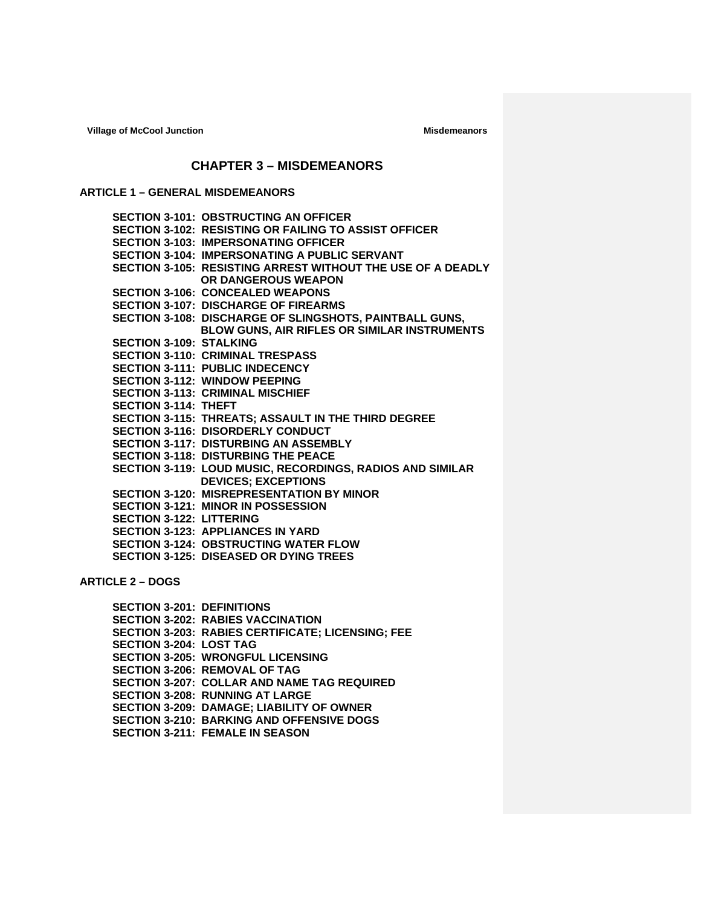**Village of McCool Junction Community Community Community Community Community Community Community Community Community Community Community Community Community Community Community Community Community Community Community Comm** 

# **CHAPTER 3 – MISDEMEANORS**

# **ARTICLE 1 – GENERAL MISDEMEANORS**

|                                 | <b>SECTION 3-101: OBSTRUCTING AN OFFICER</b>                 |
|---------------------------------|--------------------------------------------------------------|
|                                 | <b>SECTION 3-102: RESISTING OR FAILING TO ASSIST OFFICER</b> |
|                                 | <b>SECTION 3-103: IMPERSONATING OFFICER</b>                  |
|                                 | <b>SECTION 3-104: IMPERSONATING A PUBLIC SERVANT</b>         |
|                                 | SECTION 3-105: RESISTING ARREST WITHOUT THE USE OF A DEADLY  |
|                                 | OR DANGEROUS WEAPON                                          |
|                                 | <b>SECTION 3-106: CONCEALED WEAPONS</b>                      |
|                                 | <b>SECTION 3-107: DISCHARGE OF FIREARMS</b>                  |
|                                 | SECTION 3-108: DISCHARGE OF SLINGSHOTS, PAINTBALL GUNS,      |
|                                 | BLOW GUNS, AIR RIFLES OR SIMILAR INSTRUMENTS                 |
| <b>SECTION 3-109: STALKING</b>  |                                                              |
|                                 | <b>SECTION 3-110: CRIMINAL TRESPASS</b>                      |
|                                 | <b>SECTION 3-111: PUBLIC INDECENCY</b>                       |
|                                 | <b>SECTION 3-112: WINDOW PEEPING</b>                         |
|                                 | <b>SECTION 3-113: CRIMINAL MISCHIEF</b>                      |
| <b>SECTION 3-114: THEFT</b>     |                                                              |
|                                 | SECTION 3-115: THREATS; ASSAULT IN THE THIRD DEGREE          |
|                                 | SECTION 3-116: DISORDERLY CONDUCT                            |
|                                 | <b>SECTION 3-117: DISTURBING AN ASSEMBLY</b>                 |
|                                 | <b>SECTION 3-118: DISTURBING THE PEACE</b>                   |
|                                 | SECTION 3-119: LOUD MUSIC, RECORDINGS, RADIOS AND SIMILAR    |
|                                 | <b>DEVICES; EXCEPTIONS</b>                                   |
|                                 | <b>SECTION 3-120: MISREPRESENTATION BY MINOR</b>             |
|                                 | <b>SECTION 3-121: MINOR IN POSSESSION</b>                    |
| <b>SECTION 3-122: LITTERING</b> |                                                              |
|                                 | <b>SECTION 3-123: APPLIANCES IN YARD</b>                     |
|                                 | <b>SECTION 3-124: OBSTRUCTING WATER FLOW</b>                 |
|                                 | <b>SECTION 3-125: DISEASED OR DYING TREES</b>                |
|                                 |                                                              |

**ARTICLE 2 – DOGS**

**SECTION 3-201: DEFINITIONS SECTION 3-202: RABIES VACCINATION SECTION 3-203: RABIES CERTIFICATE; LICENSING; FEE SECTION 3-204: LOST TAG SECTION 3-205: WRONGFUL LICENSING SECTION 3-206: REMOVAL OF TAG SECTION 3-207: COLLAR AND NAME TAG REQUIRED SECTION 3-208: RUNNING AT LARGE SECTION 3-209: DAMAGE; LIABILITY OF OWNER SECTION 3-210: BARKING AND OFFENSIVE DOGS SECTION 3-211: FEMALE IN SEASON**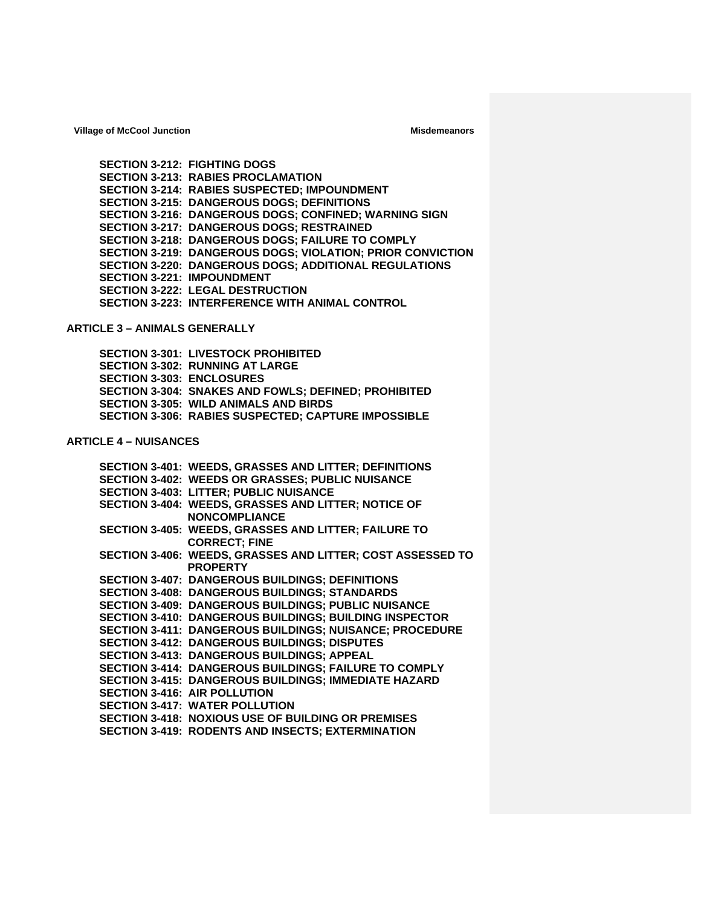**Village of McCool Junction Community Community Community Community Community Community Community Community Community Community Community Community Community Community Community Community Community Community Community Comm** 

**SECTION 3-212: FIGHTING DOGS SECTION 3-213: RABIES PROCLAMATION SECTION 3-214: RABIES SUSPECTED; IMPOUNDMENT SECTION 3-215: DANGEROUS DOGS; DEFINITIONS SECTION 3-216: DANGEROUS DOGS; CONFINED; WARNING SIGN SECTION 3-217: DANGEROUS DOGS; RESTRAINED SECTION 3-218: DANGEROUS DOGS; FAILURE TO COMPLY SECTION 3-219: DANGEROUS DOGS; VIOLATION; PRIOR CONVICTION SECTION 3-220: DANGEROUS DOGS; ADDITIONAL REGULATIONS SECTION 3-221: IMPOUNDMENT SECTION 3-222: LEGAL DESTRUCTION SECTION 3-223: INTERFERENCE WITH ANIMAL CONTROL**

**ARTICLE 3 – ANIMALS GENERALLY**

**SECTION 3-301: LIVESTOCK PROHIBITED SECTION 3-302: RUNNING AT LARGE SECTION 3-303: ENCLOSURES SECTION 3-304: SNAKES AND FOWLS; DEFINED; PROHIBITED SECTION 3-305: WILD ANIMALS AND BIRDS SECTION 3-306: RABIES SUSPECTED; CAPTURE IMPOSSIBLE**

## **ARTICLE 4 – NUISANCES**

| SECTION 3-401: WEEDS, GRASSES AND LITTER; DEFINITIONS       |
|-------------------------------------------------------------|
| SECTION 3-402: WEEDS OR GRASSES; PUBLIC NUISANCE            |
| <b>SECTION 3-403: LITTER; PUBLIC NUISANCE</b>               |
| SECTION 3-404: WEEDS, GRASSES AND LITTER; NOTICE OF         |
| <b>NONCOMPLIANCE</b>                                        |
| SECTION 3-405: WEEDS, GRASSES AND LITTER; FAILURE TO        |
| <b>CORRECT: FINE</b>                                        |
| SECTION 3-406: WEEDS, GRASSES AND LITTER; COST ASSESSED TO  |
| <b>PROPERTY</b>                                             |
| <b>SECTION 3-407: DANGEROUS BUILDINGS; DEFINITIONS</b>      |
| <b>SECTION 3-408: DANGEROUS BUILDINGS; STANDARDS</b>        |
| <b>SECTION 3-409: DANGEROUS BUILDINGS: PUBLIC NUISANCE</b>  |
| SECTION 3-410: DANGEROUS BUILDINGS; BUILDING INSPECTOR      |
| SECTION 3-411: DANGEROUS BUILDINGS; NUISANCE; PROCEDURE     |
| <b>SECTION 3-412: DANGEROUS BUILDINGS; DISPUTES</b>         |
| <b>SECTION 3-413: DANGEROUS BUILDINGS; APPEAL</b>           |
| SECTION 3-414: DANGEROUS BUILDINGS; FAILURE TO COMPLY       |
| <b>SECTION 3-415: DANGEROUS BUILDINGS; IMMEDIATE HAZARD</b> |
| <b>SECTION 3-416: AIR POLLUTION</b>                         |
| <b>SECTION 3-417: WATER POLLUTION</b>                       |
| <b>SECTION 3-418: NOXIOUS USE OF BUILDING OR PREMISES</b>   |
| <b>SECTION 3-419: RODENTS AND INSECTS; EXTERMINATION</b>    |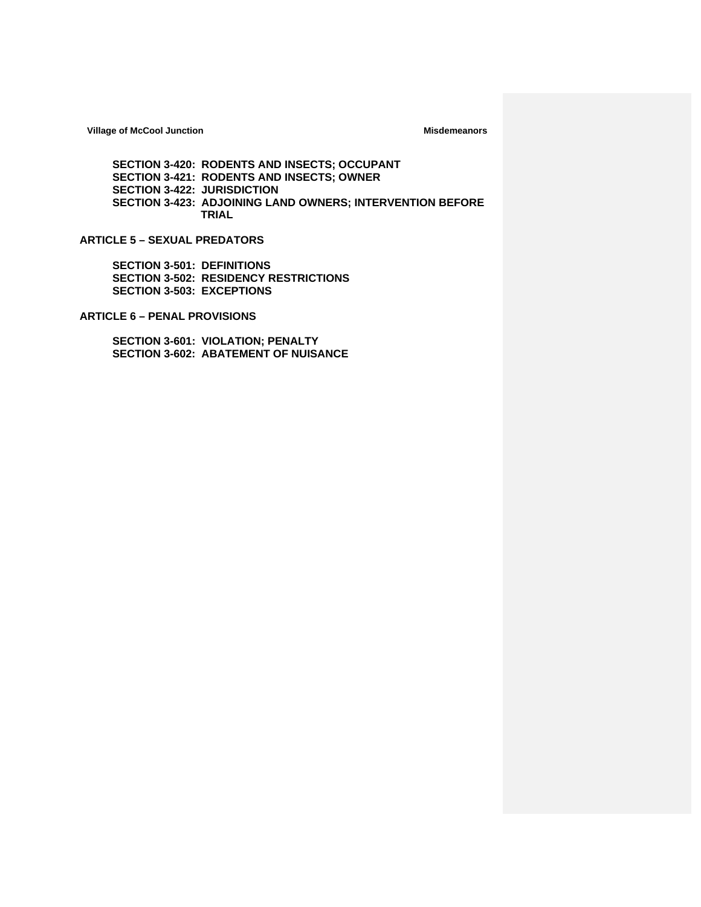Village of McCool Junction **Misdemeanors Misdemeanors** 

**SECTION 3-420: RODENTS AND INSECTS; OCCUPANT SECTION 3-421: RODENTS AND INSECTS; OWNER SECTION 3-422: JURISDICTION SECTION 3-423: ADJOINING LAND OWNERS; INTERVENTION BEFORE TRIAL**

**ARTICLE 5 – SEXUAL PREDATORS**

**SECTION 3-501: DEFINITIONS SECTION 3-502: RESIDENCY RESTRICTIONS SECTION 3-503: EXCEPTIONS**

**ARTICLE 6 – PENAL PROVISIONS**

**SECTION 3-601: VIOLATION; PENALTY SECTION 3-602: ABATEMENT OF NUISANCE**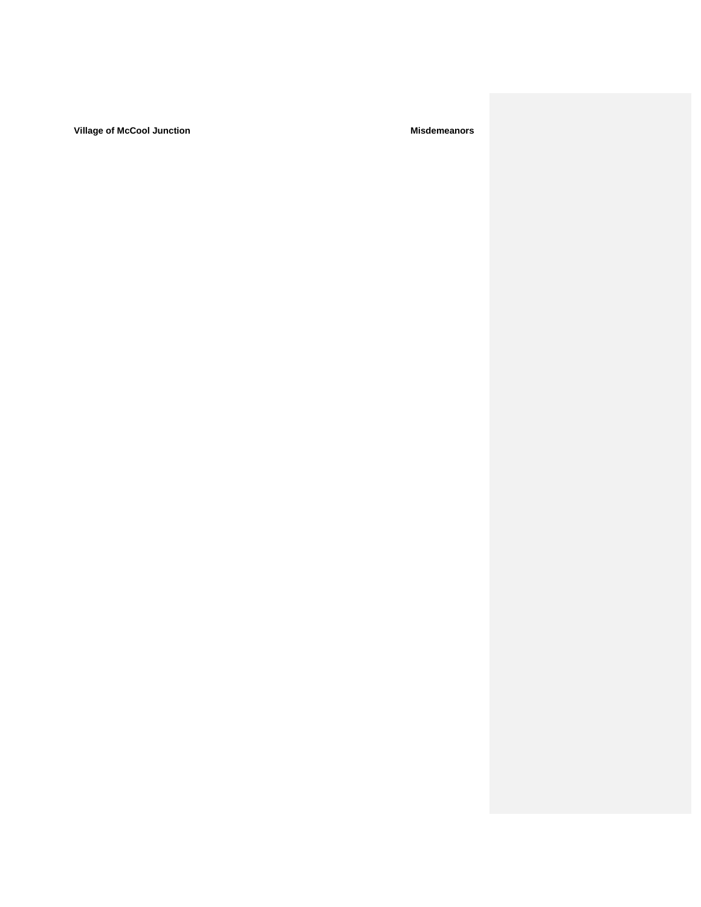Village of McCool Junction **Misdemeanors Misdemeanors**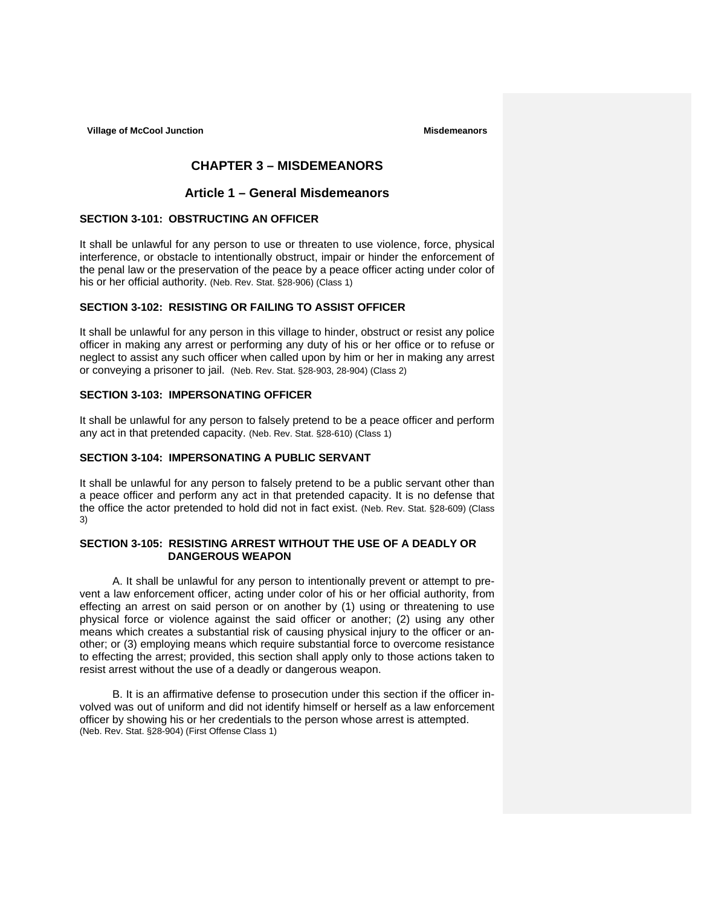# **CHAPTER 3 – MISDEMEANORS**

# **Article 1 – General Misdemeanors**

### **SECTION 3-101: OBSTRUCTING AN OFFICER**

It shall be unlawful for any person to use or threaten to use violence, force, physical interference, or obstacle to intentionally obstruct, impair or hinder the enforcement of the penal law or the preservation of the peace by a peace officer acting under color of his or her official authority. (Neb. Rev. Stat. §28-906) (Class 1)

## **SECTION 3-102: RESISTING OR FAILING TO ASSIST OFFICER**

It shall be unlawful for any person in this village to hinder, obstruct or resist any police officer in making any arrest or performing any duty of his or her office or to refuse or neglect to assist any such officer when called upon by him or her in making any arrest or conveying a prisoner to jail. (Neb. Rev. Stat. §28-903, 28-904) (Class 2)

## **SECTION 3-103: IMPERSONATING OFFICER**

It shall be unlawful for any person to falsely pretend to be a peace officer and perform any act in that pretended capacity. (Neb. Rev. Stat. §28-610) (Class 1)

## **SECTION 3-104: IMPERSONATING A PUBLIC SERVANT**

It shall be unlawful for any person to falsely pretend to be a public servant other than a peace officer and perform any act in that pretended capacity. It is no defense that the office the actor pretended to hold did not in fact exist. (Neb. Rev. Stat. §28-609) (Class 3)

### **SECTION 3-105: RESISTING ARREST WITHOUT THE USE OF A DEADLY OR DANGEROUS WEAPON**

A. It shall be unlawful for any person to intentionally prevent or attempt to prevent a law enforcement officer, acting under color of his or her official authority, from effecting an arrest on said person or on another by (1) using or threatening to use physical force or violence against the said officer or another; (2) using any other means which creates a substantial risk of causing physical injury to the officer or another; or (3) employing means which require substantial force to overcome resistance to effecting the arrest; provided, this section shall apply only to those actions taken to resist arrest without the use of a deadly or dangerous weapon.

B. It is an affirmative defense to prosecution under this section if the officer involved was out of uniform and did not identify himself or herself as a law enforcement officer by showing his or her credentials to the person whose arrest is attempted. (Neb. Rev. Stat. §28-904) (First Offense Class 1)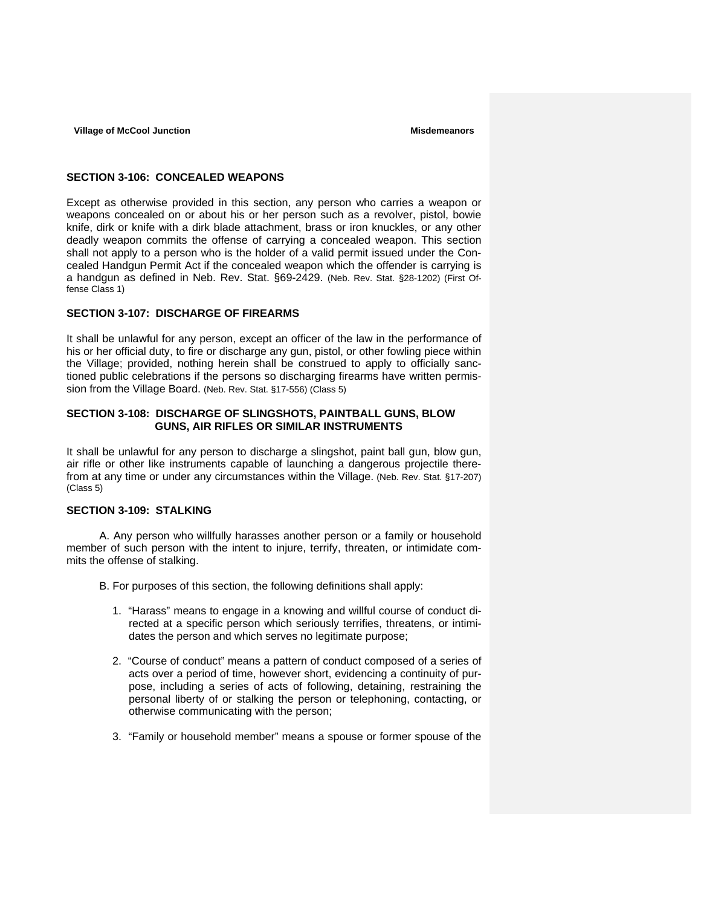## **SECTION 3-106: CONCEALED WEAPONS**

Except as otherwise provided in this section, any person who carries a weapon or weapons concealed on or about his or her person such as a revolver, pistol, bowie knife, dirk or knife with a dirk blade attachment, brass or iron knuckles, or any other deadly weapon commits the offense of carrying a concealed weapon. This section shall not apply to a person who is the holder of a valid permit issued under the Concealed Handgun Permit Act if the concealed weapon which the offender is carrying is a handgun as defined in Neb. Rev. Stat. §69-2429. (Neb. Rev. Stat. §28-1202) (First Offense Class 1)

## **SECTION 3-107: DISCHARGE OF FIREARMS**

It shall be unlawful for any person, except an officer of the law in the performance of his or her official duty, to fire or discharge any gun, pistol, or other fowling piece within the Village; provided, nothing herein shall be construed to apply to officially sanctioned public celebrations if the persons so discharging firearms have written permission from the Village Board. (Neb. Rev. Stat. §17-556) (Class 5)

## **SECTION 3-108: DISCHARGE OF SLINGSHOTS, PAINTBALL GUNS, BLOW GUNS, AIR RIFLES OR SIMILAR INSTRUMENTS**

It shall be unlawful for any person to discharge a slingshot, paint ball gun, blow gun, air rifle or other like instruments capable of launching a dangerous projectile therefrom at any time or under any circumstances within the Village. (Neb. Rev. Stat. §17-207) (Class 5)

# **SECTION 3-109: STALKING**

 A. Any person who willfully harasses another person or a family or household member of such person with the intent to injure, terrify, threaten, or intimidate commits the offense of stalking.

- B. For purposes of this section, the following definitions shall apply:
	- 1. "Harass" means to engage in a knowing and willful course of conduct directed at a specific person which seriously terrifies, threatens, or intimidates the person and which serves no legitimate purpose;
	- 2. "Course of conduct" means a pattern of conduct composed of a series of acts over a period of time, however short, evidencing a continuity of purpose, including a series of acts of following, detaining, restraining the personal liberty of or stalking the person or telephoning, contacting, or otherwise communicating with the person;
	- 3. "Family or household member" means a spouse or former spouse of the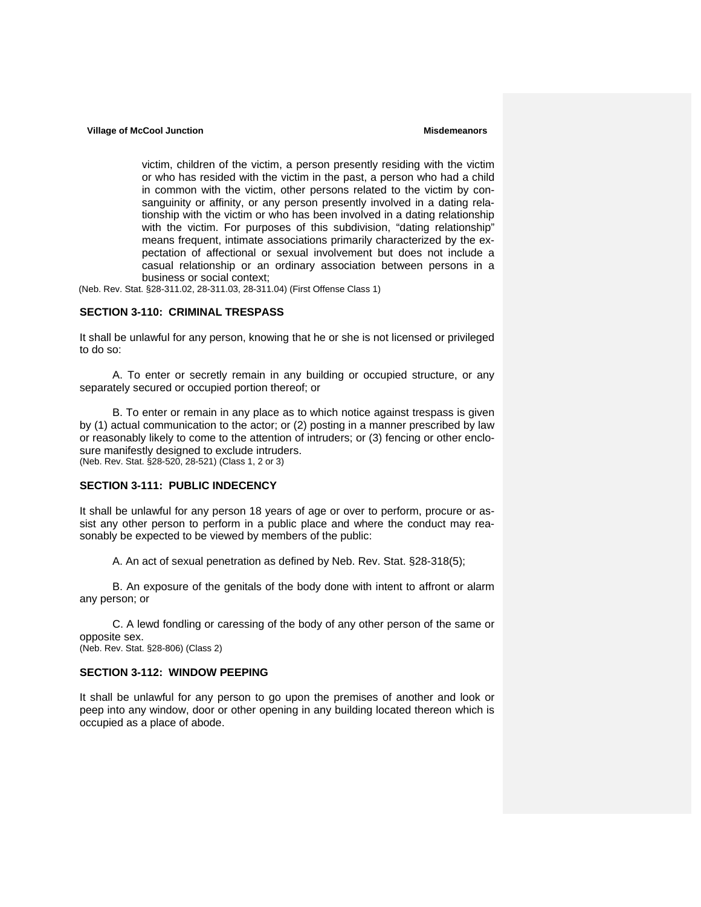victim, children of the victim, a person presently residing with the victim or who has resided with the victim in the past, a person who had a child in common with the victim, other persons related to the victim by consanguinity or affinity, or any person presently involved in a dating relationship with the victim or who has been involved in a dating relationship with the victim. For purposes of this subdivision, "dating relationship" means frequent, intimate associations primarily characterized by the expectation of affectional or sexual involvement but does not include a casual relationship or an ordinary association between persons in a business or social context;

(Neb. Rev. Stat. §28-311.02, 28-311.03, 28-311.04) (First Offense Class 1)

### **SECTION 3-110: CRIMINAL TRESPASS**

It shall be unlawful for any person, knowing that he or she is not licensed or privileged to do so:

A. To enter or secretly remain in any building or occupied structure, or any separately secured or occupied portion thereof; or

B. To enter or remain in any place as to which notice against trespass is given by (1) actual communication to the actor; or (2) posting in a manner prescribed by law or reasonably likely to come to the attention of intruders; or (3) fencing or other enclosure manifestly designed to exclude intruders. (Neb. Rev. Stat. §28-520, 28-521) (Class 1, 2 or 3)

## **SECTION 3-111: PUBLIC INDECENCY**

It shall be unlawful for any person 18 years of age or over to perform, procure or assist any other person to perform in a public place and where the conduct may reasonably be expected to be viewed by members of the public:

A. An act of sexual penetration as defined by Neb. Rev. Stat. §28-318(5);

 B. An exposure of the genitals of the body done with intent to affront or alarm any person; or

 C. A lewd fondling or caressing of the body of any other person of the same or opposite sex.

(Neb. Rev. Stat. §28-806) (Class 2)

### **SECTION 3-112: WINDOW PEEPING**

It shall be unlawful for any person to go upon the premises of another and look or peep into any window, door or other opening in any building located thereon which is occupied as a place of abode.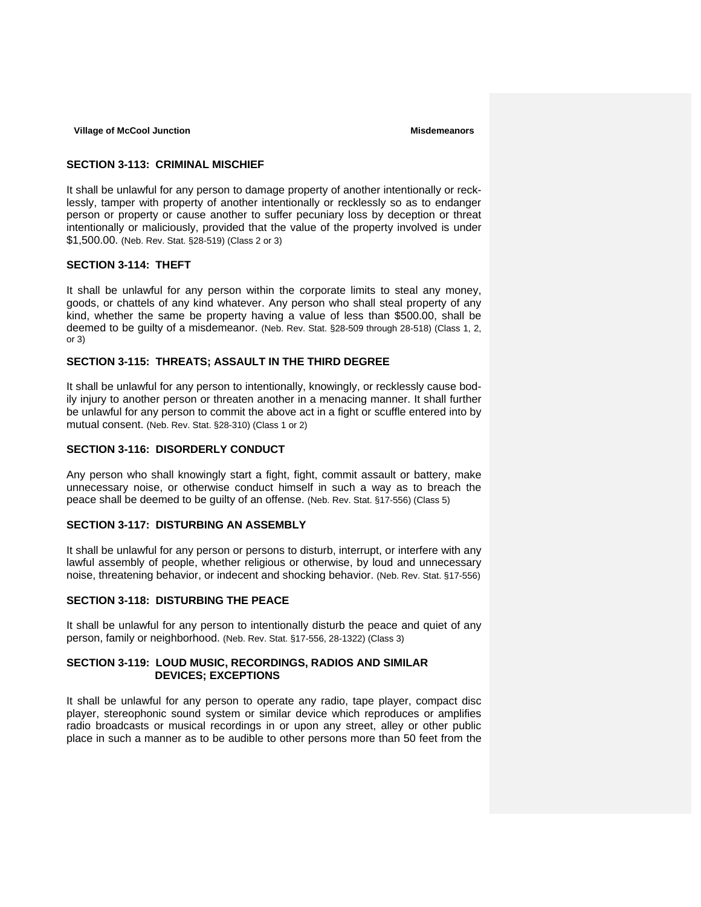## **SECTION 3-113: CRIMINAL MISCHIEF**

It shall be unlawful for any person to damage property of another intentionally or recklessly, tamper with property of another intentionally or recklessly so as to endanger person or property or cause another to suffer pecuniary loss by deception or threat intentionally or maliciously, provided that the value of the property involved is under \$1,500.00. (Neb. Rev. Stat. §28-519) (Class 2 or 3)

## **SECTION 3-114: THEFT**

It shall be unlawful for any person within the corporate limits to steal any money, goods, or chattels of any kind whatever. Any person who shall steal property of any kind, whether the same be property having a value of less than \$500.00, shall be deemed to be guilty of a misdemeanor. (Neb. Rev. Stat. §28-509 through 28-518) (Class 1, 2, or 3)

## **SECTION 3-115: THREATS; ASSAULT IN THE THIRD DEGREE**

It shall be unlawful for any person to intentionally, knowingly, or recklessly cause bodily injury to another person or threaten another in a menacing manner. It shall further be unlawful for any person to commit the above act in a fight or scuffle entered into by mutual consent. (Neb. Rev. Stat. §28-310) (Class 1 or 2)

# **SECTION 3-116: DISORDERLY CONDUCT**

Any person who shall knowingly start a fight, fight, commit assault or battery, make unnecessary noise, or otherwise conduct himself in such a way as to breach the peace shall be deemed to be guilty of an offense. (Neb. Rev. Stat. §17-556) (Class 5)

## **SECTION 3-117: DISTURBING AN ASSEMBLY**

It shall be unlawful for any person or persons to disturb, interrupt, or interfere with any lawful assembly of people, whether religious or otherwise, by loud and unnecessary noise, threatening behavior, or indecent and shocking behavior. (Neb. Rev. Stat. §17-556)

## **SECTION 3-118: DISTURBING THE PEACE**

It shall be unlawful for any person to intentionally disturb the peace and quiet of any person, family or neighborhood. (Neb. Rev. Stat. §17-556, 28-1322) (Class 3)

## **SECTION 3-119: LOUD MUSIC, RECORDINGS, RADIOS AND SIMILAR DEVICES; EXCEPTIONS**

It shall be unlawful for any person to operate any radio, tape player, compact disc player, stereophonic sound system or similar device which reproduces or amplifies radio broadcasts or musical recordings in or upon any street, alley or other public place in such a manner as to be audible to other persons more than 50 feet from the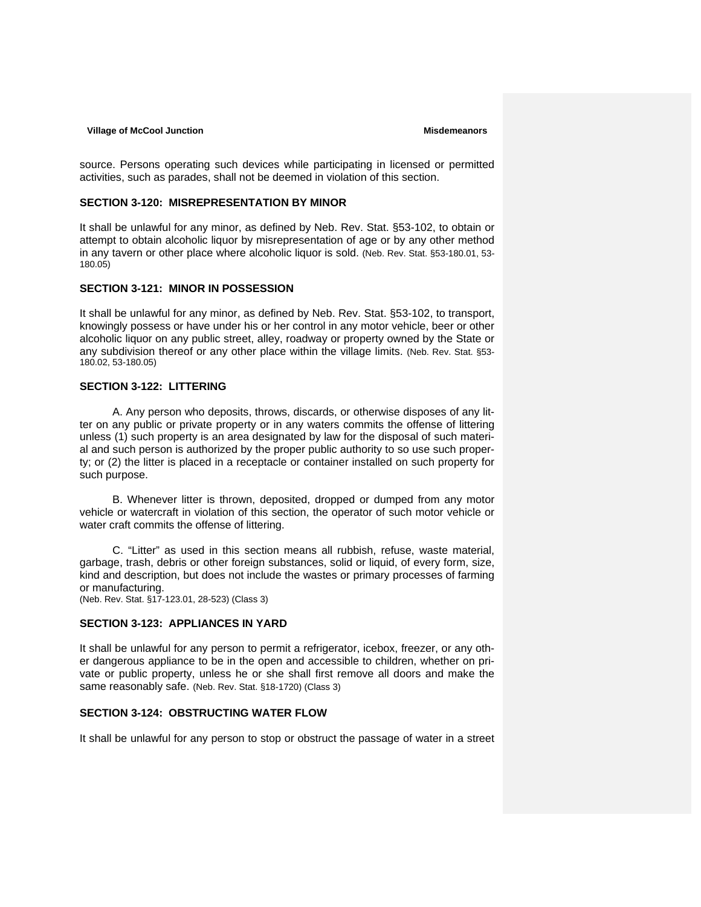source. Persons operating such devices while participating in licensed or permitted activities, such as parades, shall not be deemed in violation of this section.

### **SECTION 3-120: MISREPRESENTATION BY MINOR**

It shall be unlawful for any minor, as defined by Neb. Rev. Stat. §53-102, to obtain or attempt to obtain alcoholic liquor by misrepresentation of age or by any other method in any tavern or other place where alcoholic liquor is sold. (Neb. Rev. Stat. §53-180.01, 53- 180.05)

## **SECTION 3-121: MINOR IN POSSESSION**

It shall be unlawful for any minor, as defined by Neb. Rev. Stat. §53-102, to transport, knowingly possess or have under his or her control in any motor vehicle, beer or other alcoholic liquor on any public street, alley, roadway or property owned by the State or any subdivision thereof or any other place within the village limits. (Neb. Rev. Stat. §53- 180.02, 53-180.05)

### **SECTION 3-122: LITTERING**

 A. Any person who deposits, throws, discards, or otherwise disposes of any litter on any public or private property or in any waters commits the offense of littering unless (1) such property is an area designated by law for the disposal of such material and such person is authorized by the proper public authority to so use such property; or (2) the litter is placed in a receptacle or container installed on such property for such purpose.

 B. Whenever litter is thrown, deposited, dropped or dumped from any motor vehicle or watercraft in violation of this section, the operator of such motor vehicle or water craft commits the offense of littering.

 C. "Litter" as used in this section means all rubbish, refuse, waste material, garbage, trash, debris or other foreign substances, solid or liquid, of every form, size, kind and description, but does not include the wastes or primary processes of farming or manufacturing.

(Neb. Rev. Stat. §17-123.01, 28-523) (Class 3)

# **SECTION 3-123: APPLIANCES IN YARD**

It shall be unlawful for any person to permit a refrigerator, icebox, freezer, or any other dangerous appliance to be in the open and accessible to children, whether on private or public property, unless he or she shall first remove all doors and make the same reasonably safe. (Neb. Rev. Stat. §18-1720) (Class 3)

## **SECTION 3-124: OBSTRUCTING WATER FLOW**

It shall be unlawful for any person to stop or obstruct the passage of water in a street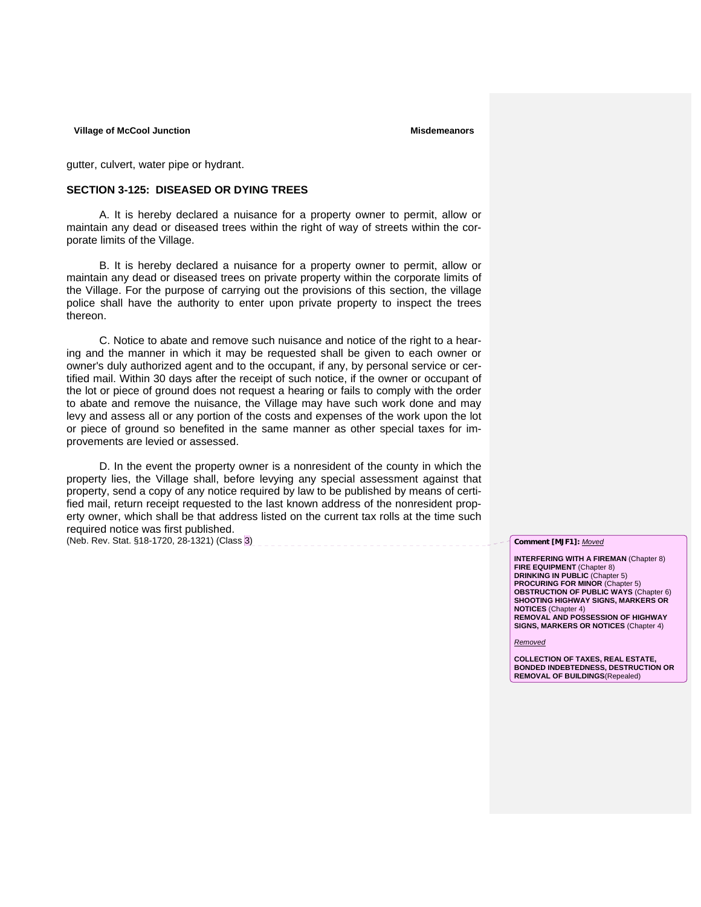gutter, culvert, water pipe or hydrant.

## **SECTION 3-125: DISEASED OR DYING TREES**

 A. It is hereby declared a nuisance for a property owner to permit, allow or maintain any dead or diseased trees within the right of way of streets within the corporate limits of the Village.

 B. It is hereby declared a nuisance for a property owner to permit, allow or maintain any dead or diseased trees on private property within the corporate limits of the Village. For the purpose of carrying out the provisions of this section, the village police shall have the authority to enter upon private property to inspect the trees thereon.

 C. Notice to abate and remove such nuisance and notice of the right to a hearing and the manner in which it may be requested shall be given to each owner or owner's duly authorized agent and to the occupant, if any, by personal service or certified mail. Within 30 days after the receipt of such notice, if the owner or occupant of the lot or piece of ground does not request a hearing or fails to comply with the order to abate and remove the nuisance, the Village may have such work done and may levy and assess all or any portion of the costs and expenses of the work upon the lot or piece of ground so benefited in the same manner as other special taxes for improvements are levied or assessed.

D. In the event the property owner is a nonresident of the county in which the property lies, the Village shall, before levying any special assessment against that property, send a copy of any notice required by law to be published by means of certified mail, return receipt requested to the last known address of the nonresident property owner, which shall be that address listed on the current tax rolls at the time such required notice was first published. (Neb. Rev. Stat. §18-1720, 28-1321) (Class 3) **Comment [MJF1]:** *Moved* 

**INTERFERING WITH A FIREMAN** (Chapter 8) **FIRE EQUIPMENT** (Chapter 8) **DRINKING IN PUBLIC** (Chapter 5) **PROCURING FOR MINOR** (Chapter 5) **OBSTRUCTION OF PUBLIC WAYS** (Chapter 6) **SHOOTING HIGHWAY SIGNS, MARKERS OR NOTICES** (Chapter 4) **REMOVAL AND POSSESSION OF HIGHWAY SIGNS, MARKERS OR NOTICES** (Chapter 4)

*Removed* 

**COLLECTION OF TAXES, REAL ESTATE, BONDED INDEBTEDNESS, DESTRUCTION OR REMOVAL OF BUILDINGS**(Repealed)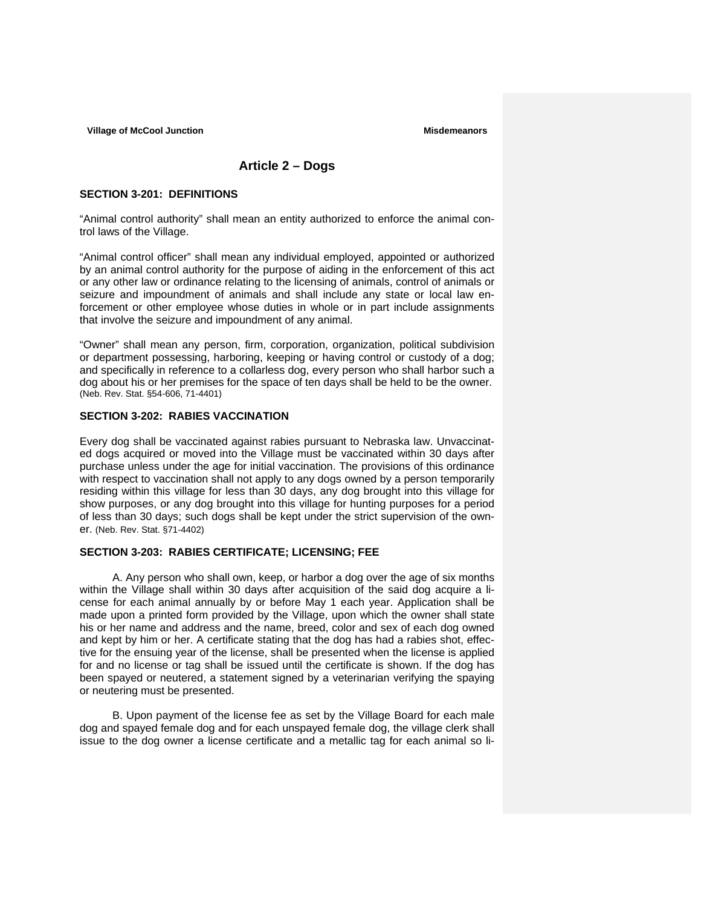# **Article 2 – Dogs**

### **SECTION 3-201: DEFINITIONS**

"Animal control authority" shall mean an entity authorized to enforce the animal control laws of the Village.

"Animal control officer" shall mean any individual employed, appointed or authorized by an animal control authority for the purpose of aiding in the enforcement of this act or any other law or ordinance relating to the licensing of animals, control of animals or seizure and impoundment of animals and shall include any state or local law enforcement or other employee whose duties in whole or in part include assignments that involve the seizure and impoundment of any animal.

"Owner" shall mean any person, firm, corporation, organization, political subdivision or department possessing, harboring, keeping or having control or custody of a dog; and specifically in reference to a collarless dog, every person who shall harbor such a dog about his or her premises for the space of ten days shall be held to be the owner. (Neb. Rev. Stat. §54-606, 71-4401)

## **SECTION 3-202: RABIES VACCINATION**

Every dog shall be vaccinated against rabies pursuant to Nebraska law. Unvaccinated dogs acquired or moved into the Village must be vaccinated within 30 days after purchase unless under the age for initial vaccination. The provisions of this ordinance with respect to vaccination shall not apply to any dogs owned by a person temporarily residing within this village for less than 30 days, any dog brought into this village for show purposes, or any dog brought into this village for hunting purposes for a period of less than 30 days; such dogs shall be kept under the strict supervision of the owner. (Neb. Rev. Stat. §71-4402)

### **SECTION 3-203: RABIES CERTIFICATE; LICENSING; FEE**

 A. Any person who shall own, keep, or harbor a dog over the age of six months within the Village shall within 30 days after acquisition of the said dog acquire a license for each animal annually by or before May 1 each year. Application shall be made upon a printed form provided by the Village, upon which the owner shall state his or her name and address and the name, breed, color and sex of each dog owned and kept by him or her. A certificate stating that the dog has had a rabies shot, effective for the ensuing year of the license, shall be presented when the license is applied for and no license or tag shall be issued until the certificate is shown. If the dog has been spayed or neutered, a statement signed by a veterinarian verifying the spaying or neutering must be presented.

 B. Upon payment of the license fee as set by the Village Board for each male dog and spayed female dog and for each unspayed female dog, the village clerk shall issue to the dog owner a license certificate and a metallic tag for each animal so li-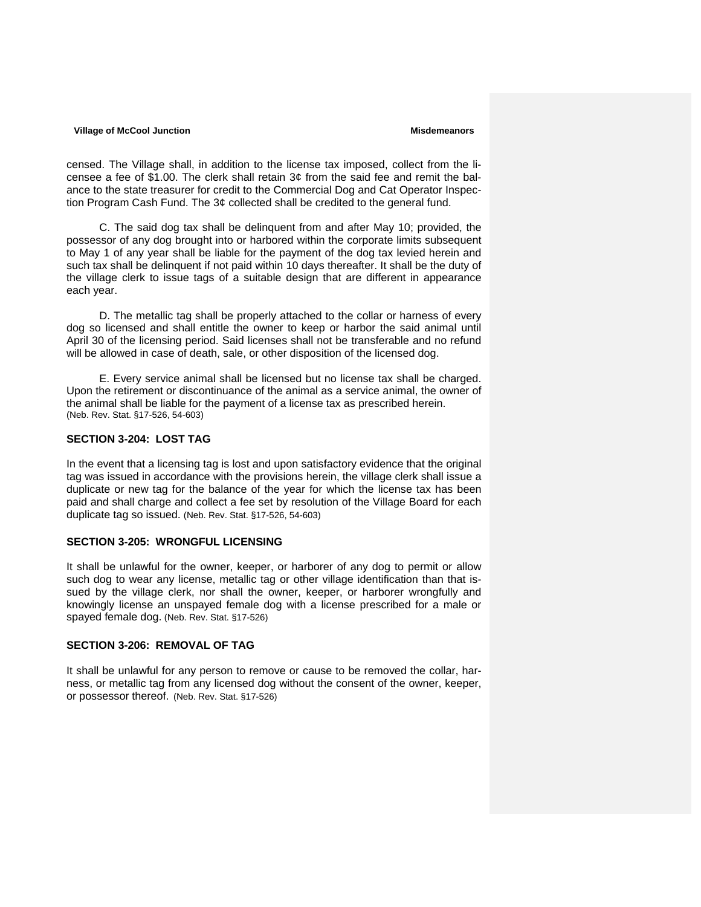censed. The Village shall, in addition to the license tax imposed, collect from the licensee a fee of \$1.00. The clerk shall retain  $3¢$  from the said fee and remit the balance to the state treasurer for credit to the Commercial Dog and Cat Operator Inspection Program Cash Fund. The 3¢ collected shall be credited to the general fund.

 C. The said dog tax shall be delinquent from and after May 10; provided, the possessor of any dog brought into or harbored within the corporate limits subsequent to May 1 of any year shall be liable for the payment of the dog tax levied herein and such tax shall be delinquent if not paid within 10 days thereafter. It shall be the duty of the village clerk to issue tags of a suitable design that are different in appearance each year.

 D. The metallic tag shall be properly attached to the collar or harness of every dog so licensed and shall entitle the owner to keep or harbor the said animal until April 30 of the licensing period. Said licenses shall not be transferable and no refund will be allowed in case of death, sale, or other disposition of the licensed dog.

 E. Every service animal shall be licensed but no license tax shall be charged. Upon the retirement or discontinuance of the animal as a service animal, the owner of the animal shall be liable for the payment of a license tax as prescribed herein. (Neb. Rev. Stat. §17-526, 54-603)

### **SECTION 3-204: LOST TAG**

In the event that a licensing tag is lost and upon satisfactory evidence that the original tag was issued in accordance with the provisions herein, the village clerk shall issue a duplicate or new tag for the balance of the year for which the license tax has been paid and shall charge and collect a fee set by resolution of the Village Board for each duplicate tag so issued. (Neb. Rev. Stat. §17-526, 54-603)

### **SECTION 3-205: WRONGFUL LICENSING**

It shall be unlawful for the owner, keeper, or harborer of any dog to permit or allow such dog to wear any license, metallic tag or other village identification than that issued by the village clerk, nor shall the owner, keeper, or harborer wrongfully and knowingly license an unspayed female dog with a license prescribed for a male or spayed female dog. (Neb. Rev. Stat. §17-526)

## **SECTION 3-206: REMOVAL OF TAG**

It shall be unlawful for any person to remove or cause to be removed the collar, harness, or metallic tag from any licensed dog without the consent of the owner, keeper, or possessor thereof. (Neb. Rev. Stat. §17-526)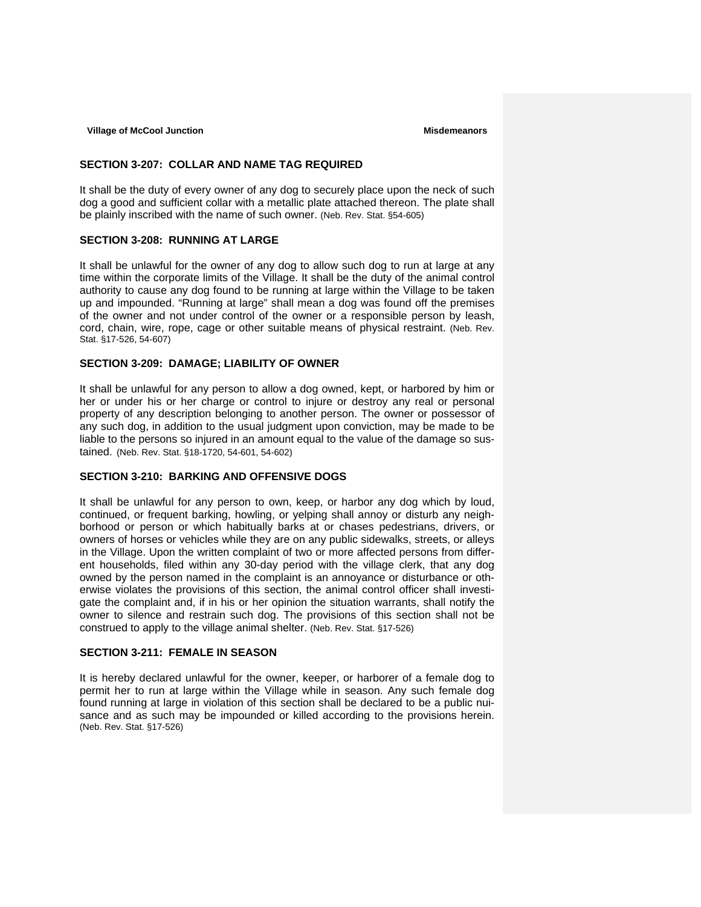### **SECTION 3-207: COLLAR AND NAME TAG REQUIRED**

It shall be the duty of every owner of any dog to securely place upon the neck of such dog a good and sufficient collar with a metallic plate attached thereon. The plate shall be plainly inscribed with the name of such owner. (Neb. Rev. Stat. §54-605)

### **SECTION 3-208: RUNNING AT LARGE**

It shall be unlawful for the owner of any dog to allow such dog to run at large at any time within the corporate limits of the Village. It shall be the duty of the animal control authority to cause any dog found to be running at large within the Village to be taken up and impounded. "Running at large" shall mean a dog was found off the premises of the owner and not under control of the owner or a responsible person by leash, cord, chain, wire, rope, cage or other suitable means of physical restraint. (Neb. Rev. Stat. §17-526, 54-607)

## **SECTION 3-209: DAMAGE; LIABILITY OF OWNER**

It shall be unlawful for any person to allow a dog owned, kept, or harbored by him or her or under his or her charge or control to injure or destroy any real or personal property of any description belonging to another person. The owner or possessor of any such dog, in addition to the usual judgment upon conviction, may be made to be liable to the persons so injured in an amount equal to the value of the damage so sustained. (Neb. Rev. Stat. §18-1720, 54-601, 54-602)

## **SECTION 3-210: BARKING AND OFFENSIVE DOGS**

It shall be unlawful for any person to own, keep, or harbor any dog which by loud, continued, or frequent barking, howling, or yelping shall annoy or disturb any neighborhood or person or which habitually barks at or chases pedestrians, drivers, or owners of horses or vehicles while they are on any public sidewalks, streets, or alleys in the Village. Upon the written complaint of two or more affected persons from different households, filed within any 30-day period with the village clerk, that any dog owned by the person named in the complaint is an annoyance or disturbance or otherwise violates the provisions of this section, the animal control officer shall investigate the complaint and, if in his or her opinion the situation warrants, shall notify the owner to silence and restrain such dog. The provisions of this section shall not be construed to apply to the village animal shelter. (Neb. Rev. Stat. §17-526)

### **SECTION 3-211: FEMALE IN SEASON**

It is hereby declared unlawful for the owner, keeper, or harborer of a female dog to permit her to run at large within the Village while in season. Any such female dog found running at large in violation of this section shall be declared to be a public nuisance and as such may be impounded or killed according to the provisions herein. (Neb. Rev. Stat. §17-526)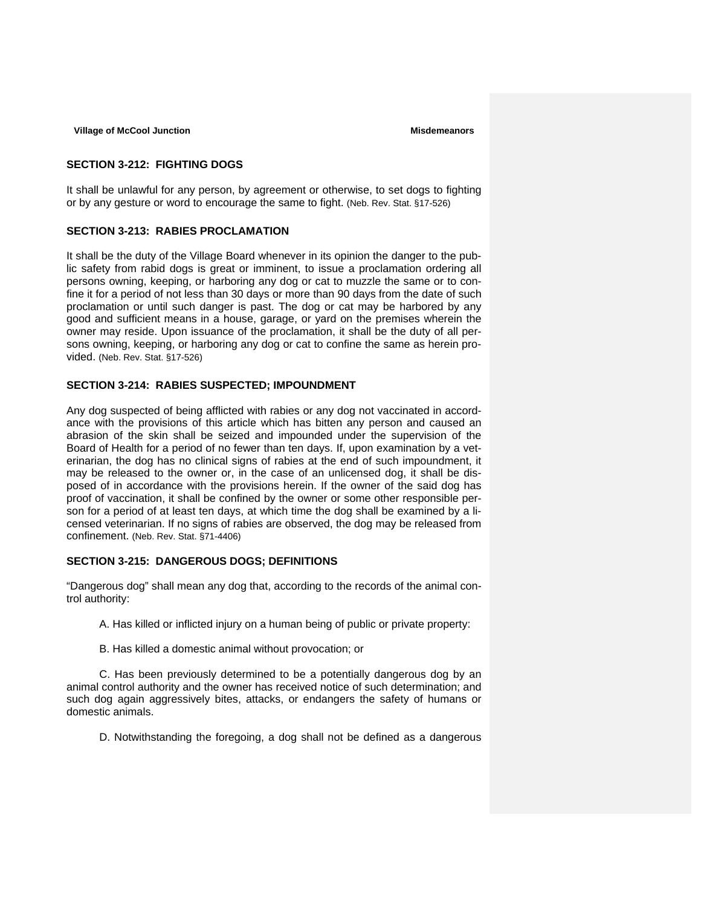## **SECTION 3-212: FIGHTING DOGS**

It shall be unlawful for any person, by agreement or otherwise, to set dogs to fighting or by any gesture or word to encourage the same to fight. (Neb. Rev. Stat. §17-526)

## **SECTION 3-213: RABIES PROCLAMATION**

It shall be the duty of the Village Board whenever in its opinion the danger to the public safety from rabid dogs is great or imminent, to issue a proclamation ordering all persons owning, keeping, or harboring any dog or cat to muzzle the same or to confine it for a period of not less than 30 days or more than 90 days from the date of such proclamation or until such danger is past. The dog or cat may be harbored by any good and sufficient means in a house, garage, or yard on the premises wherein the owner may reside. Upon issuance of the proclamation, it shall be the duty of all persons owning, keeping, or harboring any dog or cat to confine the same as herein provided. (Neb. Rev. Stat. §17-526)

## **SECTION 3-214: RABIES SUSPECTED; IMPOUNDMENT**

Any dog suspected of being afflicted with rabies or any dog not vaccinated in accordance with the provisions of this article which has bitten any person and caused an abrasion of the skin shall be seized and impounded under the supervision of the Board of Health for a period of no fewer than ten days. If, upon examination by a veterinarian, the dog has no clinical signs of rabies at the end of such impoundment, it may be released to the owner or, in the case of an unlicensed dog, it shall be disposed of in accordance with the provisions herein. If the owner of the said dog has proof of vaccination, it shall be confined by the owner or some other responsible person for a period of at least ten days, at which time the dog shall be examined by a licensed veterinarian. If no signs of rabies are observed, the dog may be released from confinement. (Neb. Rev. Stat. §71-4406)

# **SECTION 3-215: DANGEROUS DOGS; DEFINITIONS**

"Dangerous dog" shall mean any dog that, according to the records of the animal control authority:

- A. Has killed or inflicted injury on a human being of public or private property:
- B. Has killed a domestic animal without provocation; or

 C. Has been previously determined to be a potentially dangerous dog by an animal control authority and the owner has received notice of such determination; and such dog again aggressively bites, attacks, or endangers the safety of humans or domestic animals.

D. Notwithstanding the foregoing, a dog shall not be defined as a dangerous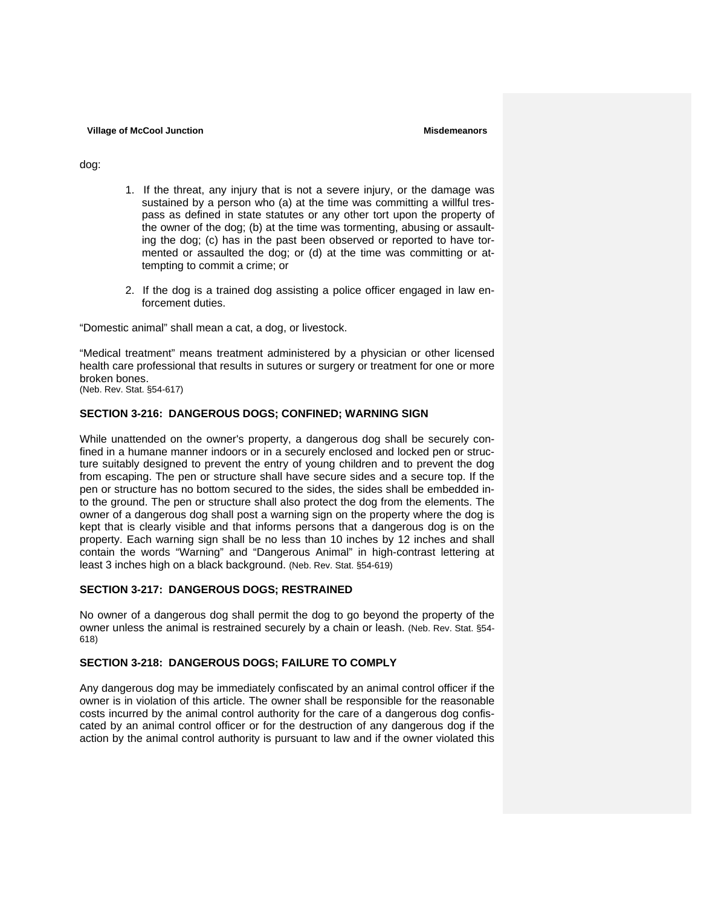dog:

- 1. If the threat, any injury that is not a severe injury, or the damage was sustained by a person who (a) at the time was committing a willful trespass as defined in state statutes or any other tort upon the property of the owner of the dog; (b) at the time was tormenting, abusing or assaulting the dog; (c) has in the past been observed or reported to have tormented or assaulted the dog; or (d) at the time was committing or attempting to commit a crime; or
- 2. If the dog is a trained dog assisting a police officer engaged in law enforcement duties.

"Domestic animal" shall mean a cat, a dog, or livestock.

"Medical treatment" means treatment administered by a physician or other licensed health care professional that results in sutures or surgery or treatment for one or more broken bones.

(Neb. Rev. Stat. §54-617)

## **SECTION 3-216: DANGEROUS DOGS; CONFINED; WARNING SIGN**

While unattended on the owner's property, a dangerous dog shall be securely confined in a humane manner indoors or in a securely enclosed and locked pen or structure suitably designed to prevent the entry of young children and to prevent the dog from escaping. The pen or structure shall have secure sides and a secure top. If the pen or structure has no bottom secured to the sides, the sides shall be embedded into the ground. The pen or structure shall also protect the dog from the elements. The owner of a dangerous dog shall post a warning sign on the property where the dog is kept that is clearly visible and that informs persons that a dangerous dog is on the property. Each warning sign shall be no less than 10 inches by 12 inches and shall contain the words "Warning" and "Dangerous Animal" in high-contrast lettering at least 3 inches high on a black background. (Neb. Rev. Stat. §54-619)

### **SECTION 3-217: DANGEROUS DOGS; RESTRAINED**

No owner of a dangerous dog shall permit the dog to go beyond the property of the owner unless the animal is restrained securely by a chain or leash. (Neb. Rev. Stat. §54- 618)

## **SECTION 3-218: DANGEROUS DOGS; FAILURE TO COMPLY**

Any dangerous dog may be immediately confiscated by an animal control officer if the owner is in violation of this article. The owner shall be responsible for the reasonable costs incurred by the animal control authority for the care of a dangerous dog confiscated by an animal control officer or for the destruction of any dangerous dog if the action by the animal control authority is pursuant to law and if the owner violated this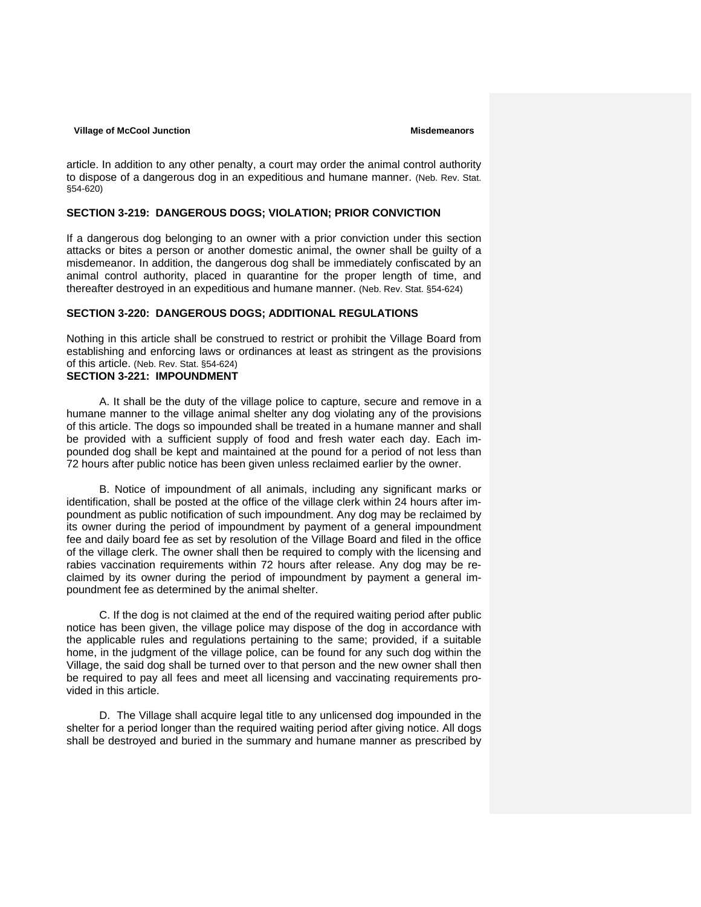article. In addition to any other penalty, a court may order the animal control authority to dispose of a dangerous dog in an expeditious and humane manner. (Neb. Rev. Stat. §54-620)

## **SECTION 3-219: DANGEROUS DOGS; VIOLATION; PRIOR CONVICTION**

If a dangerous dog belonging to an owner with a prior conviction under this section attacks or bites a person or another domestic animal, the owner shall be guilty of a misdemeanor. In addition, the dangerous dog shall be immediately confiscated by an animal control authority, placed in quarantine for the proper length of time, and thereafter destroyed in an expeditious and humane manner. (Neb. Rev. Stat. §54-624)

## **SECTION 3-220: DANGEROUS DOGS; ADDITIONAL REGULATIONS**

Nothing in this article shall be construed to restrict or prohibit the Village Board from establishing and enforcing laws or ordinances at least as stringent as the provisions of this article. (Neb. Rev. Stat. §54-624) **SECTION 3-221: IMPOUNDMENT**

 A. It shall be the duty of the village police to capture, secure and remove in a humane manner to the village animal shelter any dog violating any of the provisions of this article. The dogs so impounded shall be treated in a humane manner and shall be provided with a sufficient supply of food and fresh water each day. Each impounded dog shall be kept and maintained at the pound for a period of not less than 72 hours after public notice has been given unless reclaimed earlier by the owner.

 B. Notice of impoundment of all animals, including any significant marks or identification, shall be posted at the office of the village clerk within 24 hours after impoundment as public notification of such impoundment. Any dog may be reclaimed by its owner during the period of impoundment by payment of a general impoundment fee and daily board fee as set by resolution of the Village Board and filed in the office of the village clerk. The owner shall then be required to comply with the licensing and rabies vaccination requirements within 72 hours after release. Any dog may be reclaimed by its owner during the period of impoundment by payment a general impoundment fee as determined by the animal shelter.

 C. If the dog is not claimed at the end of the required waiting period after public notice has been given, the village police may dispose of the dog in accordance with the applicable rules and regulations pertaining to the same; provided, if a suitable home, in the judgment of the village police, can be found for any such dog within the Village, the said dog shall be turned over to that person and the new owner shall then be required to pay all fees and meet all licensing and vaccinating requirements provided in this article.

 D. The Village shall acquire legal title to any unlicensed dog impounded in the shelter for a period longer than the required waiting period after giving notice. All dogs shall be destroyed and buried in the summary and humane manner as prescribed by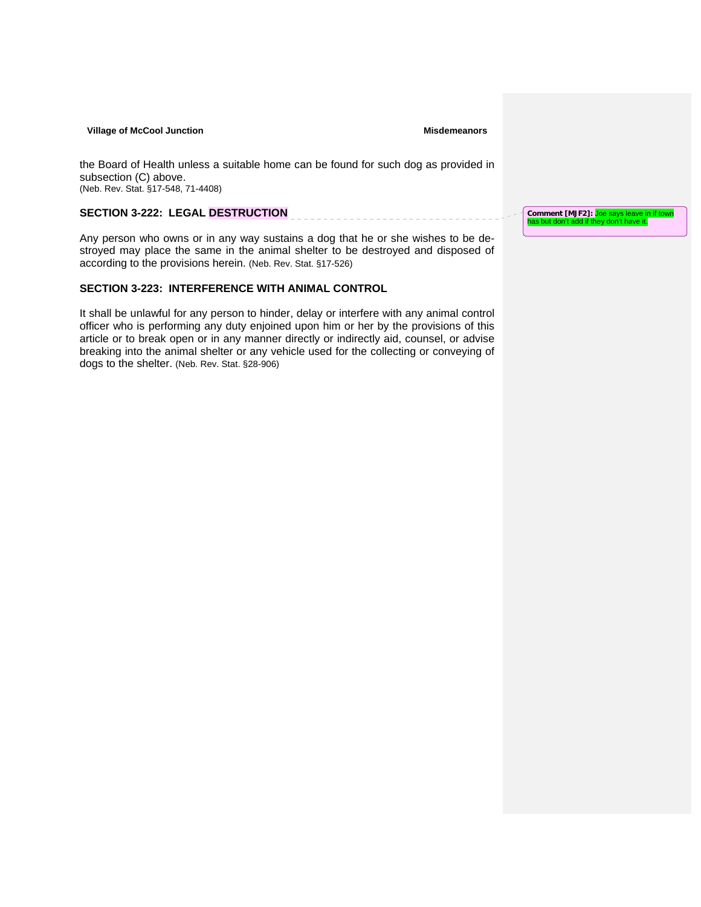### **Village of McCool Junction Community Community Community Community Community Community Community Community Community Community Community Community Community Community Community Community Community Community Community Comm**

the Board of Health unless a suitable home can be found for such dog as provided in subsection (C) above. (Neb. Rev. Stat. §17-548, 71-4408)

### **SECTION 3-222: LEGAL DESTRUCTION**

Any person who owns or in any way sustains a dog that he or she wishes to be destroyed may place the same in the animal shelter to be destroyed and disposed of according to the provisions herein. (Neb. Rev. Stat. §17-526)

### **SECTION 3-223: INTERFERENCE WITH ANIMAL CONTROL**

It shall be unlawful for any person to hinder, delay or interfere with any animal control officer who is performing any duty enjoined upon him or her by the provisions of this article or to break open or in any manner directly or indirectly aid, counsel, or advise breaking into the animal shelter or any vehicle used for the collecting or conveying of dogs to the shelter. (Neb. Rev. Stat. §28-906)

**Comment [MJF2]:** Joe says leave in if to has but don't add if they don't have it.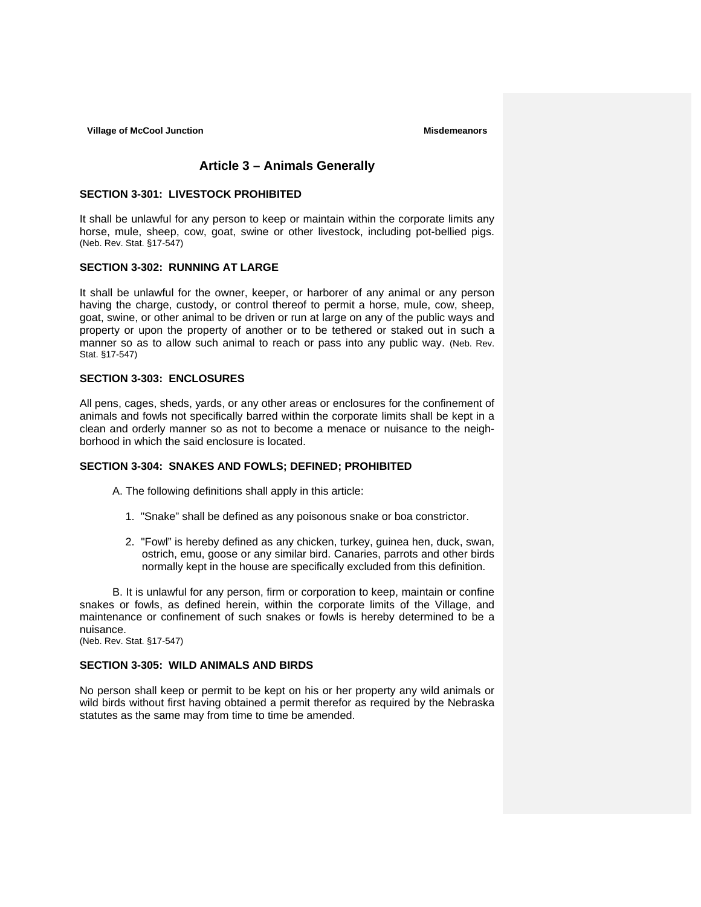# **Article 3 – Animals Generally**

### **SECTION 3-301: LIVESTOCK PROHIBITED**

It shall be unlawful for any person to keep or maintain within the corporate limits any horse, mule, sheep, cow, goat, swine or other livestock, including pot-bellied pigs. (Neb. Rev. Stat. §17-547)

## **SECTION 3-302: RUNNING AT LARGE**

It shall be unlawful for the owner, keeper, or harborer of any animal or any person having the charge, custody, or control thereof to permit a horse, mule, cow, sheep, goat, swine, or other animal to be driven or run at large on any of the public ways and property or upon the property of another or to be tethered or staked out in such a manner so as to allow such animal to reach or pass into any public way. (Neb. Rev. Stat. §17-547)

## **SECTION 3-303: ENCLOSURES**

All pens, cages, sheds, yards, or any other areas or enclosures for the confinement of animals and fowls not specifically barred within the corporate limits shall be kept in a clean and orderly manner so as not to become a menace or nuisance to the neighborhood in which the said enclosure is located.

## **SECTION 3-304: SNAKES AND FOWLS; DEFINED; PROHIBITED**

A. The following definitions shall apply in this article:

- 1. "Snake" shall be defined as any poisonous snake or boa constrictor.
- 2. "Fowl" is hereby defined as any chicken, turkey, guinea hen, duck, swan, ostrich, emu, goose or any similar bird. Canaries, parrots and other birds normally kept in the house are specifically excluded from this definition.

B. It is unlawful for any person, firm or corporation to keep, maintain or confine snakes or fowls, as defined herein, within the corporate limits of the Village, and maintenance or confinement of such snakes or fowls is hereby determined to be a nuisance.

(Neb. Rev. Stat. §17-547)

### **SECTION 3-305: WILD ANIMALS AND BIRDS**

No person shall keep or permit to be kept on his or her property any wild animals or wild birds without first having obtained a permit therefor as required by the Nebraska statutes as the same may from time to time be amended.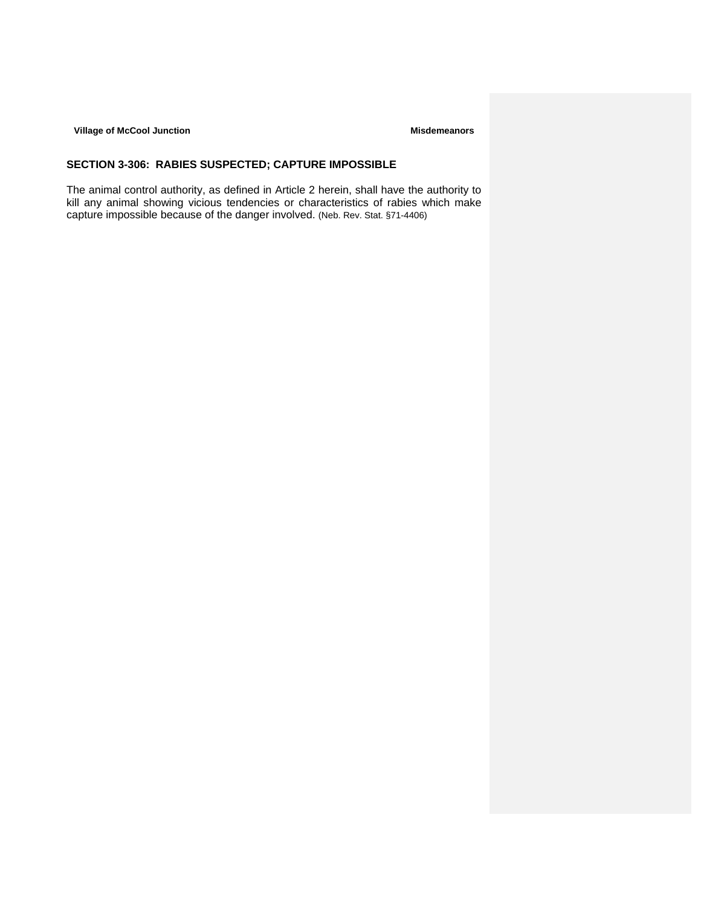# **SECTION 3-306: RABIES SUSPECTED; CAPTURE IMPOSSIBLE**

The animal control authority, as defined in Article 2 herein, shall have the authority to kill any animal showing vicious tendencies or characteristics of rabies which make capture impossible because of the danger involved. (Neb. Rev. Stat. §71-4406)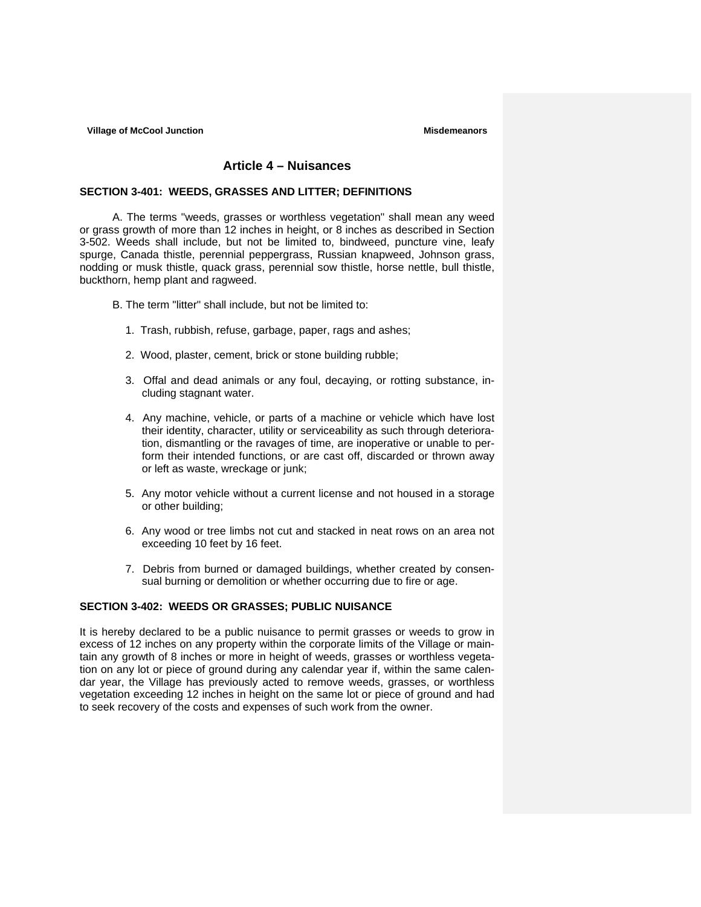## **Article 4 – Nuisances**

### **SECTION 3-401: WEEDS, GRASSES AND LITTER; DEFINITIONS**

 A. The terms "weeds, grasses or worthless vegetation" shall mean any weed or grass growth of more than 12 inches in height, or 8 inches as described in Section 3-502. Weeds shall include, but not be limited to, bindweed, puncture vine, leafy spurge, Canada thistle, perennial peppergrass, Russian knapweed, Johnson grass, nodding or musk thistle, quack grass, perennial sow thistle, horse nettle, bull thistle, buckthorn, hemp plant and ragweed.

- B. The term "litter" shall include, but not be limited to:
	- 1. Trash, rubbish, refuse, garbage, paper, rags and ashes;
	- 2. Wood, plaster, cement, brick or stone building rubble;
	- 3. Offal and dead animals or any foul, decaying, or rotting substance, including stagnant water.
	- 4. Any machine, vehicle, or parts of a machine or vehicle which have lost their identity, character, utility or serviceability as such through deterioration, dismantling or the ravages of time, are inoperative or unable to perform their intended functions, or are cast off, discarded or thrown away or left as waste, wreckage or junk;
	- 5. Any motor vehicle without a current license and not housed in a storage or other building;
	- 6. Any wood or tree limbs not cut and stacked in neat rows on an area not exceeding 10 feet by 16 feet.
	- 7. Debris from burned or damaged buildings, whether created by consensual burning or demolition or whether occurring due to fire or age.

## **SECTION 3-402: WEEDS OR GRASSES; PUBLIC NUISANCE**

It is hereby declared to be a public nuisance to permit grasses or weeds to grow in excess of 12 inches on any property within the corporate limits of the Village or maintain any growth of 8 inches or more in height of weeds, grasses or worthless vegetation on any lot or piece of ground during any calendar year if, within the same calendar year, the Village has previously acted to remove weeds, grasses, or worthless vegetation exceeding 12 inches in height on the same lot or piece of ground and had to seek recovery of the costs and expenses of such work from the owner.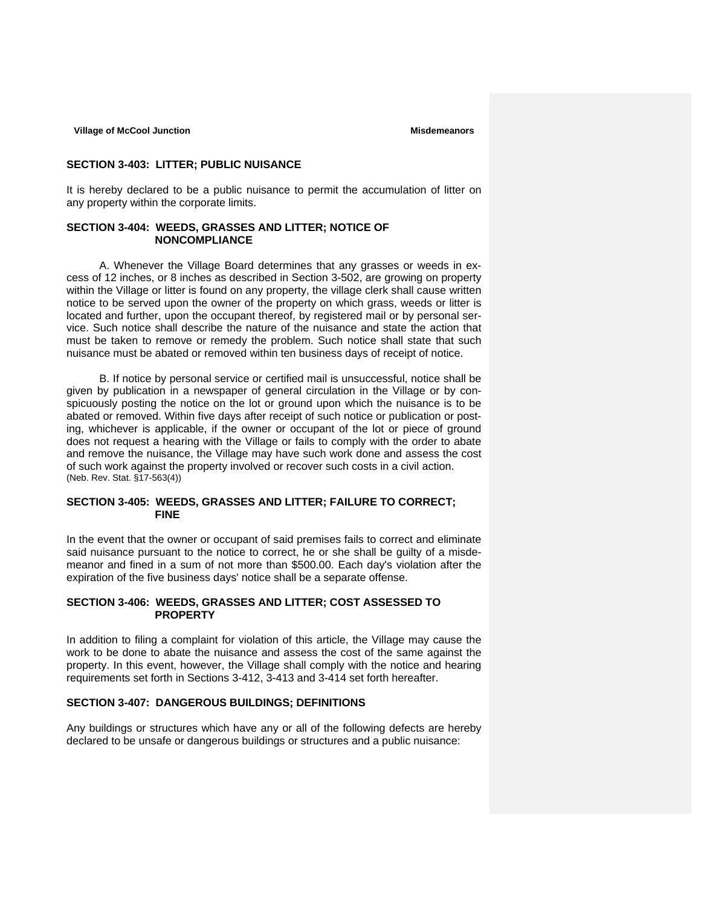### **SECTION 3-403: LITTER; PUBLIC NUISANCE**

It is hereby declared to be a public nuisance to permit the accumulation of litter on any property within the corporate limits.

## **SECTION 3-404: WEEDS, GRASSES AND LITTER; NOTICE OF NONCOMPLIANCE**

A. Whenever the Village Board determines that any grasses or weeds in excess of 12 inches, or 8 inches as described in Section 3-502, are growing on property within the Village or litter is found on any property, the village clerk shall cause written notice to be served upon the owner of the property on which grass, weeds or litter is located and further, upon the occupant thereof, by registered mail or by personal service. Such notice shall describe the nature of the nuisance and state the action that must be taken to remove or remedy the problem. Such notice shall state that such nuisance must be abated or removed within ten business days of receipt of notice.

B. If notice by personal service or certified mail is unsuccessful, notice shall be given by publication in a newspaper of general circulation in the Village or by conspicuously posting the notice on the lot or ground upon which the nuisance is to be abated or removed. Within five days after receipt of such notice or publication or posting, whichever is applicable, if the owner or occupant of the lot or piece of ground does not request a hearing with the Village or fails to comply with the order to abate and remove the nuisance, the Village may have such work done and assess the cost of such work against the property involved or recover such costs in a civil action. (Neb. Rev. Stat. §17-563(4))

### **SECTION 3-405: WEEDS, GRASSES AND LITTER; FAILURE TO CORRECT; FINE**

In the event that the owner or occupant of said premises fails to correct and eliminate said nuisance pursuant to the notice to correct, he or she shall be guilty of a misdemeanor and fined in a sum of not more than \$500.00. Each day's violation after the expiration of the five business days' notice shall be a separate offense.

### **SECTION 3-406: WEEDS, GRASSES AND LITTER; COST ASSESSED TO PROPERTY**

In addition to filing a complaint for violation of this article, the Village may cause the work to be done to abate the nuisance and assess the cost of the same against the property. In this event, however, the Village shall comply with the notice and hearing requirements set forth in Sections 3-412, 3-413 and 3-414 set forth hereafter.

### **SECTION 3-407: DANGEROUS BUILDINGS; DEFINITIONS**

Any buildings or structures which have any or all of the following defects are hereby declared to be unsafe or dangerous buildings or structures and a public nuisance: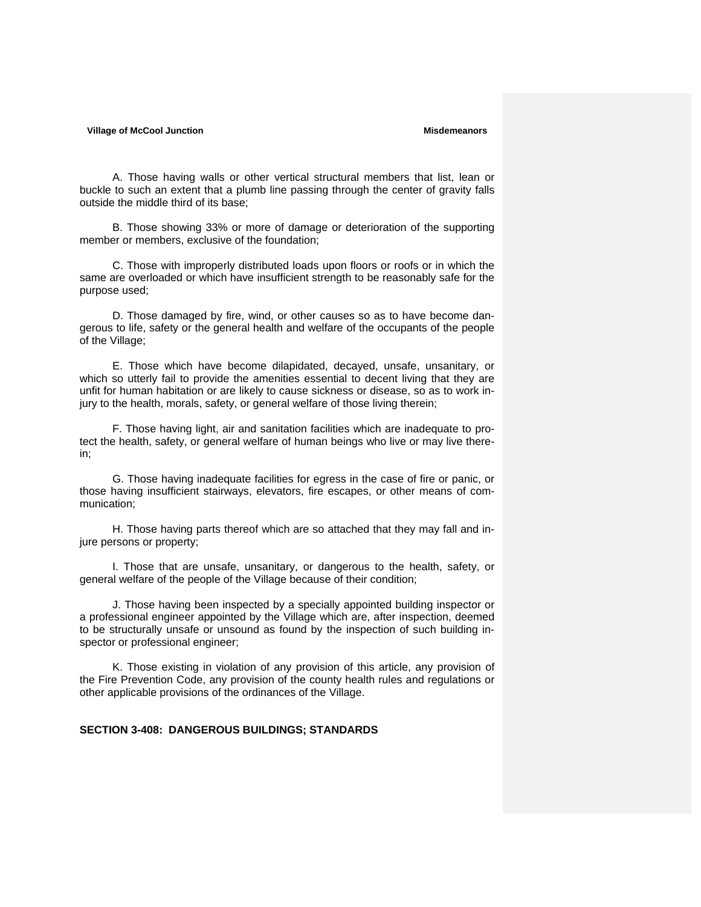A. Those having walls or other vertical structural members that list, lean or buckle to such an extent that a plumb line passing through the center of gravity falls outside the middle third of its base;

 B. Those showing 33% or more of damage or deterioration of the supporting member or members, exclusive of the foundation;

 C. Those with improperly distributed loads upon floors or roofs or in which the same are overloaded or which have insufficient strength to be reasonably safe for the purpose used;

 D. Those damaged by fire, wind, or other causes so as to have become dangerous to life, safety or the general health and welfare of the occupants of the people of the Village;

 E. Those which have become dilapidated, decayed, unsafe, unsanitary, or which so utterly fail to provide the amenities essential to decent living that they are unfit for human habitation or are likely to cause sickness or disease, so as to work injury to the health, morals, safety, or general welfare of those living therein;

 F. Those having light, air and sanitation facilities which are inadequate to protect the health, safety, or general welfare of human beings who live or may live therein;

 G. Those having inadequate facilities for egress in the case of fire or panic, or those having insufficient stairways, elevators, fire escapes, or other means of communication;

 H. Those having parts thereof which are so attached that they may fall and injure persons or property;

 I. Those that are unsafe, unsanitary, or dangerous to the health, safety, or general welfare of the people of the Village because of their condition;

 J. Those having been inspected by a specially appointed building inspector or a professional engineer appointed by the Village which are, after inspection, deemed to be structurally unsafe or unsound as found by the inspection of such building inspector or professional engineer;

 K. Those existing in violation of any provision of this article, any provision of the Fire Prevention Code, any provision of the county health rules and regulations or other applicable provisions of the ordinances of the Village.

## **SECTION 3-408: DANGEROUS BUILDINGS; STANDARDS**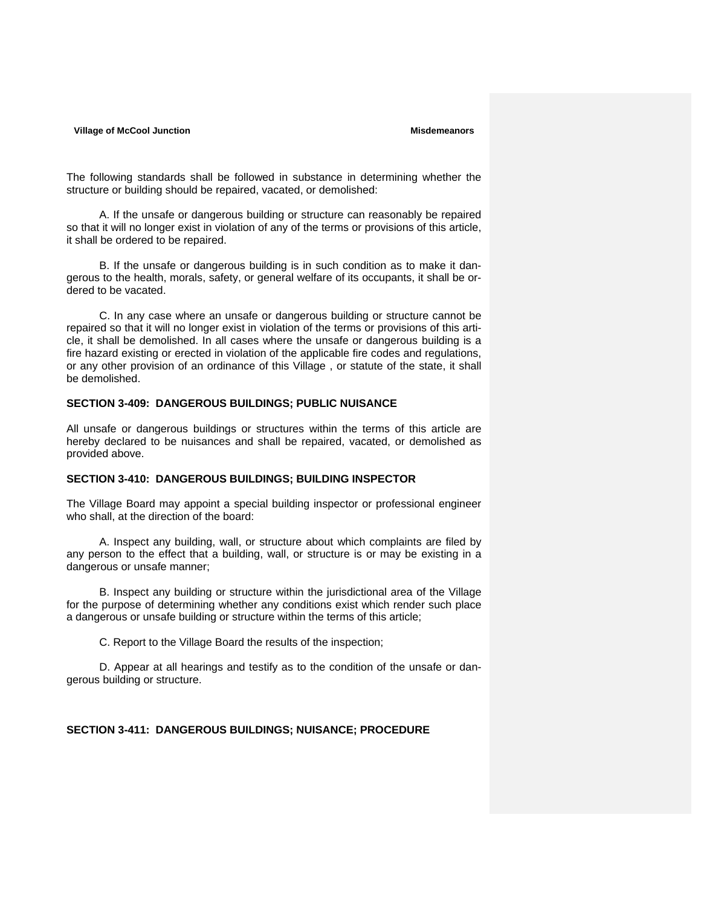The following standards shall be followed in substance in determining whether the structure or building should be repaired, vacated, or demolished:

 A. If the unsafe or dangerous building or structure can reasonably be repaired so that it will no longer exist in violation of any of the terms or provisions of this article, it shall be ordered to be repaired.

 B. If the unsafe or dangerous building is in such condition as to make it dangerous to the health, morals, safety, or general welfare of its occupants, it shall be ordered to be vacated.

 C. In any case where an unsafe or dangerous building or structure cannot be repaired so that it will no longer exist in violation of the terms or provisions of this article, it shall be demolished. In all cases where the unsafe or dangerous building is a fire hazard existing or erected in violation of the applicable fire codes and regulations, or any other provision of an ordinance of this Village , or statute of the state, it shall be demolished.

## **SECTION 3-409: DANGEROUS BUILDINGS; PUBLIC NUISANCE**

All unsafe or dangerous buildings or structures within the terms of this article are hereby declared to be nuisances and shall be repaired, vacated, or demolished as provided above.

### **SECTION 3-410: DANGEROUS BUILDINGS; BUILDING INSPECTOR**

The Village Board may appoint a special building inspector or professional engineer who shall, at the direction of the board:

 A. Inspect any building, wall, or structure about which complaints are filed by any person to the effect that a building, wall, or structure is or may be existing in a dangerous or unsafe manner;

 B. Inspect any building or structure within the jurisdictional area of the Village for the purpose of determining whether any conditions exist which render such place a dangerous or unsafe building or structure within the terms of this article;

C. Report to the Village Board the results of the inspection;

 D. Appear at all hearings and testify as to the condition of the unsafe or dangerous building or structure.

## **SECTION 3-411: DANGEROUS BUILDINGS; NUISANCE; PROCEDURE**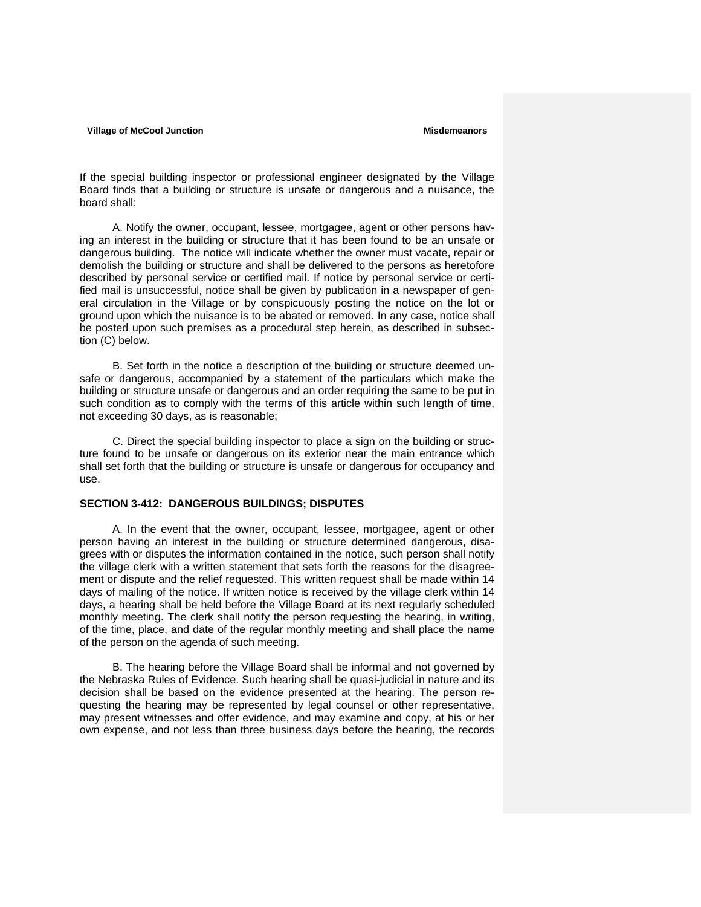If the special building inspector or professional engineer designated by the Village Board finds that a building or structure is unsafe or dangerous and a nuisance, the board shall:

 A. Notify the owner, occupant, lessee, mortgagee, agent or other persons having an interest in the building or structure that it has been found to be an unsafe or dangerous building. The notice will indicate whether the owner must vacate, repair or demolish the building or structure and shall be delivered to the persons as heretofore described by personal service or certified mail. If notice by personal service or certified mail is unsuccessful, notice shall be given by publication in a newspaper of general circulation in the Village or by conspicuously posting the notice on the lot or ground upon which the nuisance is to be abated or removed. In any case, notice shall be posted upon such premises as a procedural step herein, as described in subsection (C) below.

 B. Set forth in the notice a description of the building or structure deemed unsafe or dangerous, accompanied by a statement of the particulars which make the building or structure unsafe or dangerous and an order requiring the same to be put in such condition as to comply with the terms of this article within such length of time, not exceeding 30 days, as is reasonable;

 C. Direct the special building inspector to place a sign on the building or structure found to be unsafe or dangerous on its exterior near the main entrance which shall set forth that the building or structure is unsafe or dangerous for occupancy and use.

## **SECTION 3-412: DANGEROUS BUILDINGS; DISPUTES**

 A. In the event that the owner, occupant, lessee, mortgagee, agent or other person having an interest in the building or structure determined dangerous, disagrees with or disputes the information contained in the notice, such person shall notify the village clerk with a written statement that sets forth the reasons for the disagreement or dispute and the relief requested. This written request shall be made within 14 days of mailing of the notice. If written notice is received by the village clerk within 14 days, a hearing shall be held before the Village Board at its next regularly scheduled monthly meeting. The clerk shall notify the person requesting the hearing, in writing, of the time, place, and date of the regular monthly meeting and shall place the name of the person on the agenda of such meeting.

 B. The hearing before the Village Board shall be informal and not governed by the Nebraska Rules of Evidence. Such hearing shall be quasi-judicial in nature and its decision shall be based on the evidence presented at the hearing. The person requesting the hearing may be represented by legal counsel or other representative, may present witnesses and offer evidence, and may examine and copy, at his or her own expense, and not less than three business days before the hearing, the records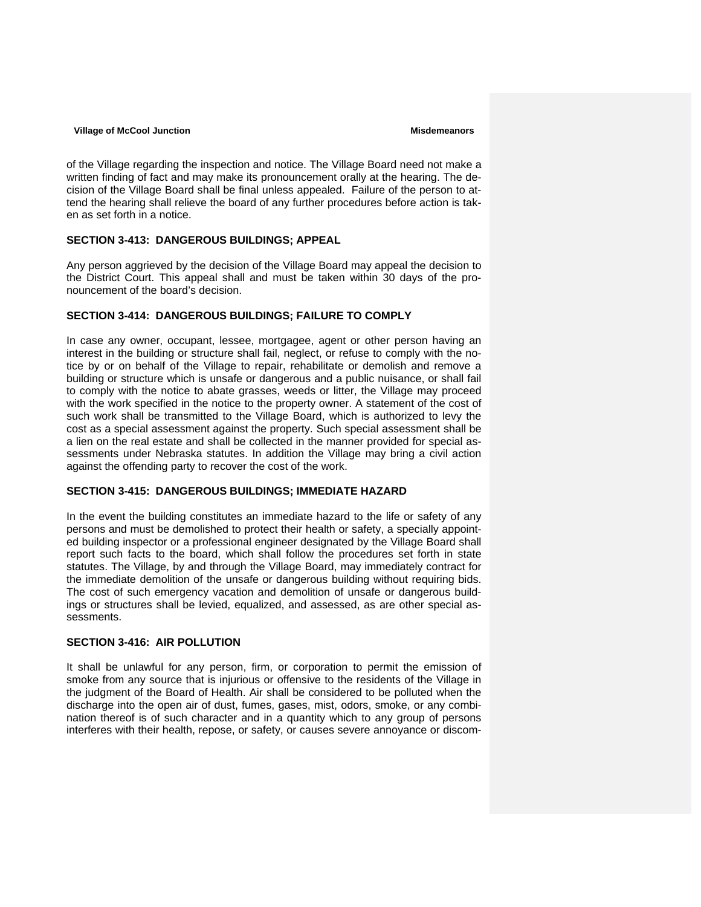of the Village regarding the inspection and notice. The Village Board need not make a written finding of fact and may make its pronouncement orally at the hearing. The decision of the Village Board shall be final unless appealed. Failure of the person to attend the hearing shall relieve the board of any further procedures before action is taken as set forth in a notice.

### **SECTION 3-413: DANGEROUS BUILDINGS; APPEAL**

Any person aggrieved by the decision of the Village Board may appeal the decision to the District Court. This appeal shall and must be taken within 30 days of the pronouncement of the board's decision.

## **SECTION 3-414: DANGEROUS BUILDINGS; FAILURE TO COMPLY**

In case any owner, occupant, lessee, mortgagee, agent or other person having an interest in the building or structure shall fail, neglect, or refuse to comply with the notice by or on behalf of the Village to repair, rehabilitate or demolish and remove a building or structure which is unsafe or dangerous and a public nuisance, or shall fail to comply with the notice to abate grasses, weeds or litter, the Village may proceed with the work specified in the notice to the property owner. A statement of the cost of such work shall be transmitted to the Village Board, which is authorized to levy the cost as a special assessment against the property. Such special assessment shall be a lien on the real estate and shall be collected in the manner provided for special assessments under Nebraska statutes. In addition the Village may bring a civil action against the offending party to recover the cost of the work.

## **SECTION 3-415: DANGEROUS BUILDINGS; IMMEDIATE HAZARD**

In the event the building constitutes an immediate hazard to the life or safety of any persons and must be demolished to protect their health or safety, a specially appointed building inspector or a professional engineer designated by the Village Board shall report such facts to the board, which shall follow the procedures set forth in state statutes. The Village, by and through the Village Board, may immediately contract for the immediate demolition of the unsafe or dangerous building without requiring bids. The cost of such emergency vacation and demolition of unsafe or dangerous buildings or structures shall be levied, equalized, and assessed, as are other special assessments.

### **SECTION 3-416: AIR POLLUTION**

It shall be unlawful for any person, firm, or corporation to permit the emission of smoke from any source that is injurious or offensive to the residents of the Village in the judgment of the Board of Health. Air shall be considered to be polluted when the discharge into the open air of dust, fumes, gases, mist, odors, smoke, or any combination thereof is of such character and in a quantity which to any group of persons interferes with their health, repose, or safety, or causes severe annoyance or discom-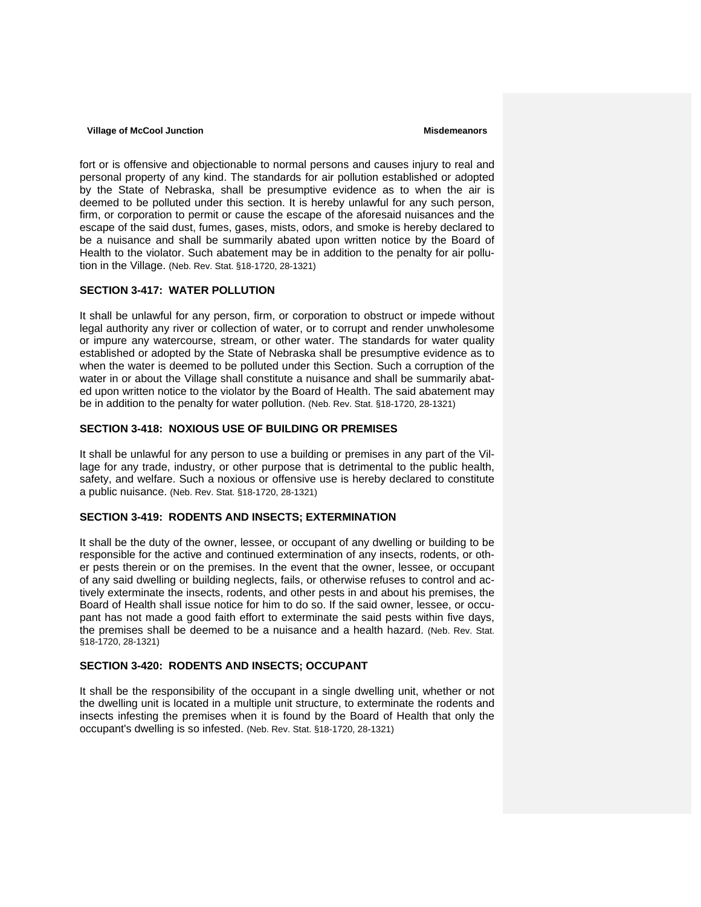fort or is offensive and objectionable to normal persons and causes injury to real and personal property of any kind. The standards for air pollution established or adopted by the State of Nebraska, shall be presumptive evidence as to when the air is deemed to be polluted under this section. It is hereby unlawful for any such person, firm, or corporation to permit or cause the escape of the aforesaid nuisances and the escape of the said dust, fumes, gases, mists, odors, and smoke is hereby declared to be a nuisance and shall be summarily abated upon written notice by the Board of Health to the violator. Such abatement may be in addition to the penalty for air pollution in the Village. (Neb. Rev. Stat. §18-1720, 28-1321)

## **SECTION 3-417: WATER POLLUTION**

It shall be unlawful for any person, firm, or corporation to obstruct or impede without legal authority any river or collection of water, or to corrupt and render unwholesome or impure any watercourse, stream, or other water. The standards for water quality established or adopted by the State of Nebraska shall be presumptive evidence as to when the water is deemed to be polluted under this Section. Such a corruption of the water in or about the Village shall constitute a nuisance and shall be summarily abated upon written notice to the violator by the Board of Health. The said abatement may be in addition to the penalty for water pollution. (Neb. Rev. Stat. §18-1720, 28-1321)

## **SECTION 3-418: NOXIOUS USE OF BUILDING OR PREMISES**

It shall be unlawful for any person to use a building or premises in any part of the Village for any trade, industry, or other purpose that is detrimental to the public health, safety, and welfare. Such a noxious or offensive use is hereby declared to constitute a public nuisance. (Neb. Rev. Stat. §18-1720, 28-1321)

### **SECTION 3-419: RODENTS AND INSECTS; EXTERMINATION**

It shall be the duty of the owner, lessee, or occupant of any dwelling or building to be responsible for the active and continued extermination of any insects, rodents, or other pests therein or on the premises. In the event that the owner, lessee, or occupant of any said dwelling or building neglects, fails, or otherwise refuses to control and actively exterminate the insects, rodents, and other pests in and about his premises, the Board of Health shall issue notice for him to do so. If the said owner, lessee, or occupant has not made a good faith effort to exterminate the said pests within five days, the premises shall be deemed to be a nuisance and a health hazard. (Neb. Rev. Stat. §18-1720, 28-1321)

### **SECTION 3-420: RODENTS AND INSECTS; OCCUPANT**

It shall be the responsibility of the occupant in a single dwelling unit, whether or not the dwelling unit is located in a multiple unit structure, to exterminate the rodents and insects infesting the premises when it is found by the Board of Health that only the occupant's dwelling is so infested. (Neb. Rev. Stat. §18-1720, 28-1321)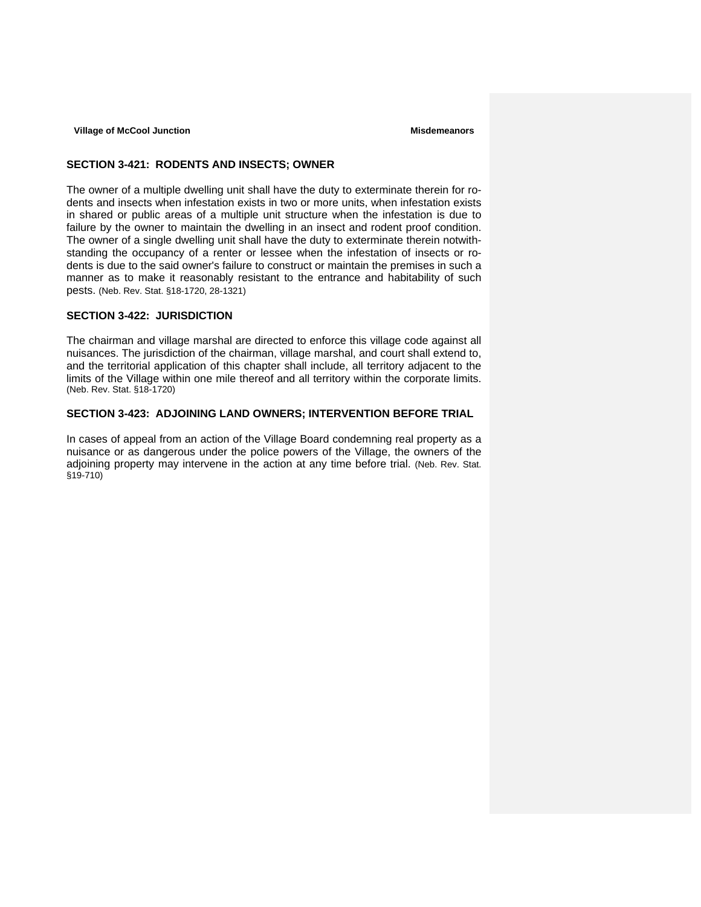### **SECTION 3-421: RODENTS AND INSECTS; OWNER**

The owner of a multiple dwelling unit shall have the duty to exterminate therein for rodents and insects when infestation exists in two or more units, when infestation exists in shared or public areas of a multiple unit structure when the infestation is due to failure by the owner to maintain the dwelling in an insect and rodent proof condition. The owner of a single dwelling unit shall have the duty to exterminate therein notwithstanding the occupancy of a renter or lessee when the infestation of insects or rodents is due to the said owner's failure to construct or maintain the premises in such a manner as to make it reasonably resistant to the entrance and habitability of such pests. (Neb. Rev. Stat. §18-1720, 28-1321)

## **SECTION 3-422: JURISDICTION**

The chairman and village marshal are directed to enforce this village code against all nuisances. The jurisdiction of the chairman, village marshal, and court shall extend to, and the territorial application of this chapter shall include, all territory adjacent to the limits of the Village within one mile thereof and all territory within the corporate limits. (Neb. Rev. Stat. §18-1720)

### **SECTION 3-423: ADJOINING LAND OWNERS; INTERVENTION BEFORE TRIAL**

In cases of appeal from an action of the Village Board condemning real property as a nuisance or as dangerous under the police powers of the Village, the owners of the adjoining property may intervene in the action at any time before trial. (Neb. Rev. Stat. §19-710)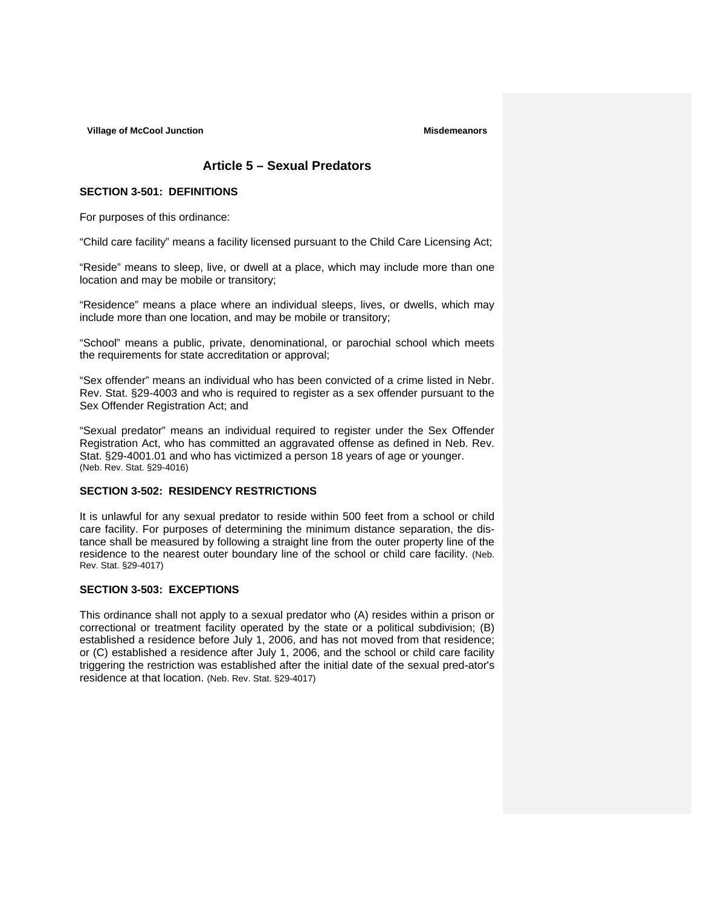# **Article 5 – Sexual Predators**

## **SECTION 3-501: DEFINITIONS**

For purposes of this ordinance:

"Child care facility" means a facility licensed pursuant to the Child Care Licensing Act;

"Reside" means to sleep, live, or dwell at a place, which may include more than one location and may be mobile or transitory;

"Residence" means a place where an individual sleeps, lives, or dwells, which may include more than one location, and may be mobile or transitory;

"School" means a public, private, denominational, or parochial school which meets the requirements for state accreditation or approval;

"Sex offender" means an individual who has been convicted of a crime listed in Nebr. Rev. Stat. §29-4003 and who is required to register as a sex offender pursuant to the Sex Offender Registration Act; and

"Sexual predator" means an individual required to register under the Sex Offender Registration Act, who has committed an aggravated offense as defined in Neb. Rev. Stat. §29-4001.01 and who has victimized a person 18 years of age or younger. (Neb. Rev. Stat. §29-4016)

# **SECTION 3-502: RESIDENCY RESTRICTIONS**

It is unlawful for any sexual predator to reside within 500 feet from a school or child care facility. For purposes of determining the minimum distance separation, the distance shall be measured by following a straight line from the outer property line of the residence to the nearest outer boundary line of the school or child care facility. (Neb. Rev. Stat. §29-4017)

## **SECTION 3-503: EXCEPTIONS**

This ordinance shall not apply to a sexual predator who (A) resides within a prison or correctional or treatment facility operated by the state or a political subdivision; (B) established a residence before July 1, 2006, and has not moved from that residence; or (C) established a residence after July 1, 2006, and the school or child care facility triggering the restriction was established after the initial date of the sexual pred-ator's residence at that location. (Neb. Rev. Stat. §29-4017)